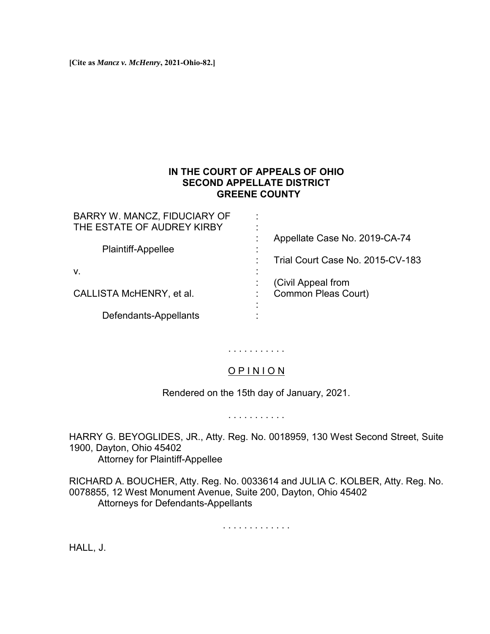**[Cite as** *Mancz v. McHenry***, 2021-Ohio-82.]**

### **IN THE COURT OF APPEALS OF OHIO SECOND APPELLATE DISTRICT GREENE COUNTY**

| BARRY W. MANCZ, FIDUCIARY OF<br>THE ESTATE OF AUDREY KIRBY | ٠<br>$\blacksquare$                              |
|------------------------------------------------------------|--------------------------------------------------|
| <b>Plaintiff-Appellee</b>                                  | Appellate Case No. 2019-CA-74                    |
| V.                                                         | Trial Court Case No. 2015-CV-183                 |
| CALLISTA McHENRY, et al.                                   | (Civil Appeal from<br><b>Common Pleas Court)</b> |
| Defendants-Appellants                                      |                                                  |

# . . . . . . . . . . .

## O P I N I O N

Rendered on the 15th day of January, 2021.

. . . . . . . . . . .

HARRY G. BEYOGLIDES, JR., Atty. Reg. No. 0018959, 130 West Second Street, Suite 1900, Dayton, Ohio 45402 Attorney for Plaintiff-Appellee

RICHARD A. BOUCHER, Atty. Reg. No. 0033614 and JULIA C. KOLBER, Atty. Reg. No. 0078855, 12 West Monument Avenue, Suite 200, Dayton, Ohio 45402 Attorneys for Defendants-Appellants

. . . . . . . . . . . . .

HALL, J.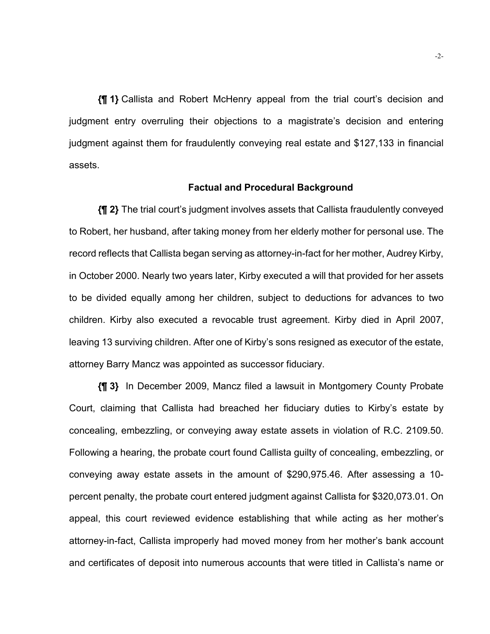**{¶ 1}** Callista and Robert McHenry appeal from the trial court's decision and judgment entry overruling their objections to a magistrate's decision and entering judgment against them for fraudulently conveying real estate and \$127,133 in financial assets.

#### **Factual and Procedural Background**

**{¶ 2}** The trial court's judgment involves assets that Callista fraudulently conveyed to Robert, her husband, after taking money from her elderly mother for personal use. The record reflects that Callista began serving as attorney-in-fact for her mother, Audrey Kirby, in October 2000. Nearly two years later, Kirby executed a will that provided for her assets to be divided equally among her children, subject to deductions for advances to two children. Kirby also executed a revocable trust agreement. Kirby died in April 2007, leaving 13 surviving children. After one of Kirby's sons resigned as executor of the estate, attorney Barry Mancz was appointed as successor fiduciary.

**{¶ 3}** In December 2009, Mancz filed a lawsuit in Montgomery County Probate Court, claiming that Callista had breached her fiduciary duties to Kirby's estate by concealing, embezzling, or conveying away estate assets in violation of R.C. 2109.50. Following a hearing, the probate court found Callista guilty of concealing, embezzling, or conveying away estate assets in the amount of \$290,975.46. After assessing a 10 percent penalty, the probate court entered judgment against Callista for \$320,073.01. On appeal, this court reviewed evidence establishing that while acting as her mother's attorney-in-fact, Callista improperly had moved money from her mother's bank account and certificates of deposit into numerous accounts that were titled in Callista's name or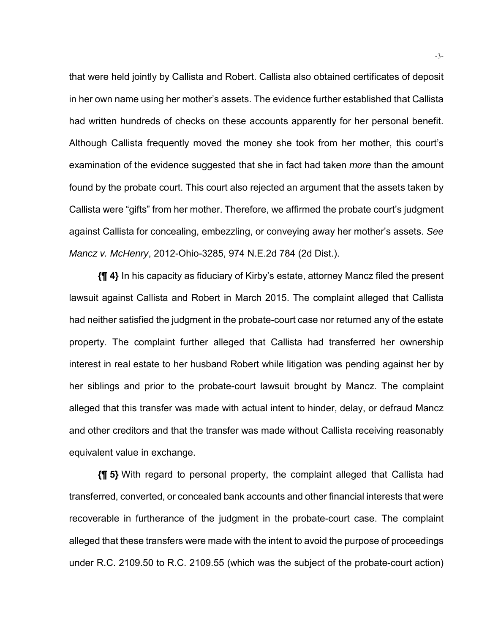that were held jointly by Callista and Robert. Callista also obtained certificates of deposit in her own name using her mother's assets. The evidence further established that Callista had written hundreds of checks on these accounts apparently for her personal benefit. Although Callista frequently moved the money she took from her mother, this court's examination of the evidence suggested that she in fact had taken *more* than the amount found by the probate court. This court also rejected an argument that the assets taken by Callista were "gifts" from her mother. Therefore, we affirmed the probate court's judgment against Callista for concealing, embezzling, or conveying away her mother's assets. *See Mancz v. McHenry*, 2012-Ohio-3285, 974 N.E.2d 784 (2d Dist.).

**{¶ 4}** In his capacity as fiduciary of Kirby's estate, attorney Mancz filed the present lawsuit against Callista and Robert in March 2015. The complaint alleged that Callista had neither satisfied the judgment in the probate-court case nor returned any of the estate property. The complaint further alleged that Callista had transferred her ownership interest in real estate to her husband Robert while litigation was pending against her by her siblings and prior to the probate-court lawsuit brought by Mancz. The complaint alleged that this transfer was made with actual intent to hinder, delay, or defraud Mancz and other creditors and that the transfer was made without Callista receiving reasonably equivalent value in exchange.

**{¶ 5}** With regard to personal property, the complaint alleged that Callista had transferred, converted, or concealed bank accounts and other financial interests that were recoverable in furtherance of the judgment in the probate-court case. The complaint alleged that these transfers were made with the intent to avoid the purpose of proceedings under R.C. 2109.50 to R.C. 2109.55 (which was the subject of the probate-court action)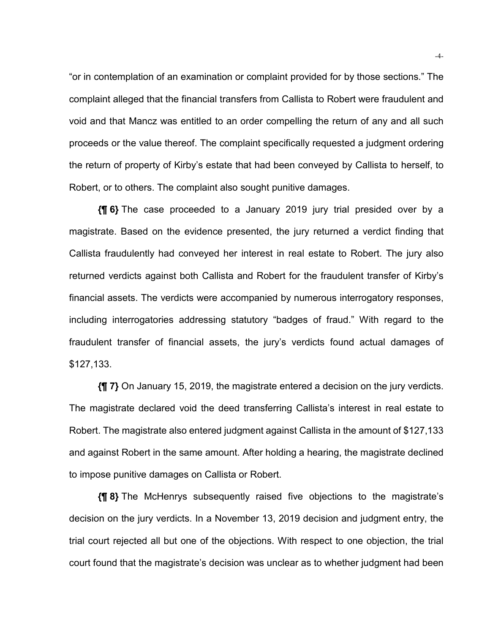"or in contemplation of an examination or complaint provided for by those sections." The complaint alleged that the financial transfers from Callista to Robert were fraudulent and void and that Mancz was entitled to an order compelling the return of any and all such proceeds or the value thereof. The complaint specifically requested a judgment ordering the return of property of Kirby's estate that had been conveyed by Callista to herself, to Robert, or to others. The complaint also sought punitive damages.

**{¶ 6}** The case proceeded to a January 2019 jury trial presided over by a magistrate. Based on the evidence presented, the jury returned a verdict finding that Callista fraudulently had conveyed her interest in real estate to Robert. The jury also returned verdicts against both Callista and Robert for the fraudulent transfer of Kirby's financial assets. The verdicts were accompanied by numerous interrogatory responses, including interrogatories addressing statutory "badges of fraud." With regard to the fraudulent transfer of financial assets, the jury's verdicts found actual damages of \$127,133.

**{¶ 7}** On January 15, 2019, the magistrate entered a decision on the jury verdicts. The magistrate declared void the deed transferring Callista's interest in real estate to Robert. The magistrate also entered judgment against Callista in the amount of \$127,133 and against Robert in the same amount. After holding a hearing, the magistrate declined to impose punitive damages on Callista or Robert.

**{¶ 8}** The McHenrys subsequently raised five objections to the magistrate's decision on the jury verdicts. In a November 13, 2019 decision and judgment entry, the trial court rejected all but one of the objections. With respect to one objection, the trial court found that the magistrate's decision was unclear as to whether judgment had been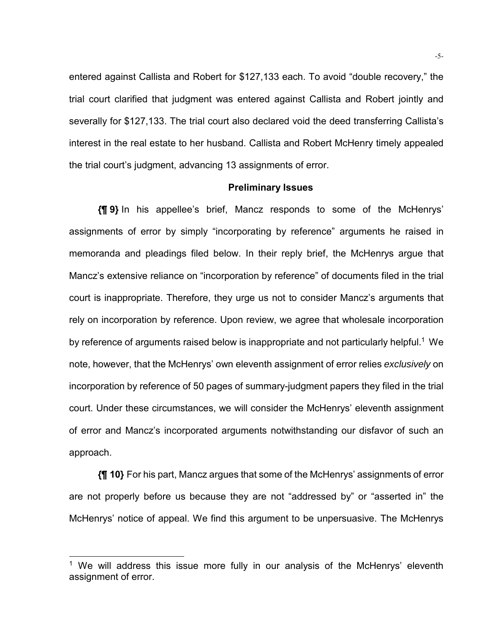entered against Callista and Robert for \$127,133 each. To avoid "double recovery," the trial court clarified that judgment was entered against Callista and Robert jointly and severally for \$127,133. The trial court also declared void the deed transferring Callista's interest in the real estate to her husband. Callista and Robert McHenry timely appealed the trial court's judgment, advancing 13 assignments of error.

#### **Preliminary Issues**

**{¶ 9}** In his appellee's brief, Mancz responds to some of the McHenrys' assignments of error by simply "incorporating by reference" arguments he raised in memoranda and pleadings filed below. In their reply brief, the McHenrys argue that Mancz's extensive reliance on "incorporation by reference" of documents filed in the trial court is inappropriate. Therefore, they urge us not to consider Mancz's arguments that rely on incorporation by reference. Upon review, we agree that wholesale incorporation by reference of arguments raised below is inappropriate and not particularly helpful.<sup>1</sup> We note, however, that the McHenrys' own eleventh assignment of error relies *exclusively* on incorporation by reference of 50 pages of summary-judgment papers they filed in the trial court. Under these circumstances, we will consider the McHenrys' eleventh assignment of error and Mancz's incorporated arguments notwithstanding our disfavor of such an approach.

**{¶ 10}** For his part, Mancz argues that some of the McHenrys' assignments of error are not properly before us because they are not "addressed by" or "asserted in" the McHenrys' notice of appeal. We find this argument to be unpersuasive. The McHenrys

l

<sup>&</sup>lt;sup>1</sup> We will address this issue more fully in our analysis of the McHenrys' eleventh assignment of error.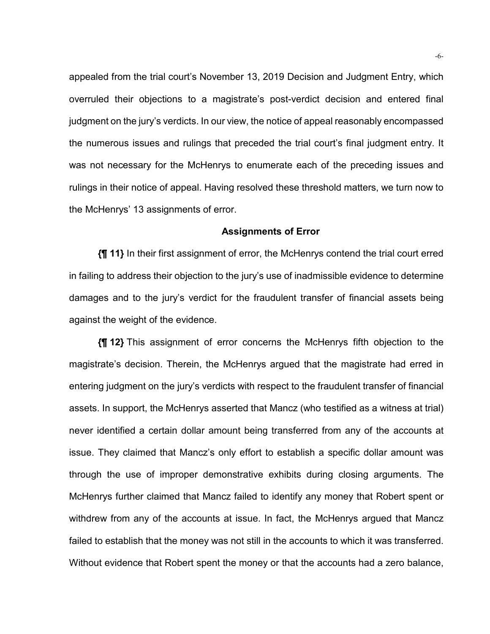appealed from the trial court's November 13, 2019 Decision and Judgment Entry, which overruled their objections to a magistrate's post-verdict decision and entered final judgment on the jury's verdicts. In our view, the notice of appeal reasonably encompassed the numerous issues and rulings that preceded the trial court's final judgment entry. It was not necessary for the McHenrys to enumerate each of the preceding issues and rulings in their notice of appeal. Having resolved these threshold matters, we turn now to the McHenrys' 13 assignments of error.

#### **Assignments of Error**

**{¶ 11}** In their first assignment of error, the McHenrys contend the trial court erred in failing to address their objection to the jury's use of inadmissible evidence to determine damages and to the jury's verdict for the fraudulent transfer of financial assets being against the weight of the evidence.

**{¶ 12}** This assignment of error concerns the McHenrys fifth objection to the magistrate's decision. Therein, the McHenrys argued that the magistrate had erred in entering judgment on the jury's verdicts with respect to the fraudulent transfer of financial assets. In support, the McHenrys asserted that Mancz (who testified as a witness at trial) never identified a certain dollar amount being transferred from any of the accounts at issue. They claimed that Mancz's only effort to establish a specific dollar amount was through the use of improper demonstrative exhibits during closing arguments. The McHenrys further claimed that Mancz failed to identify any money that Robert spent or withdrew from any of the accounts at issue. In fact, the McHenrys argued that Mancz failed to establish that the money was not still in the accounts to which it was transferred. Without evidence that Robert spent the money or that the accounts had a zero balance,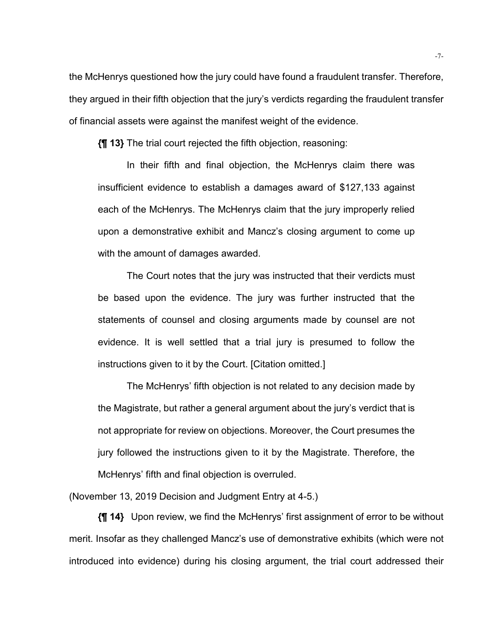the McHenrys questioned how the jury could have found a fraudulent transfer. Therefore, they argued in their fifth objection that the jury's verdicts regarding the fraudulent transfer of financial assets were against the manifest weight of the evidence.

**{¶ 13}** The trial court rejected the fifth objection, reasoning:

 In their fifth and final objection, the McHenrys claim there was insufficient evidence to establish a damages award of \$127,133 against each of the McHenrys. The McHenrys claim that the jury improperly relied upon a demonstrative exhibit and Mancz's closing argument to come up with the amount of damages awarded.

 The Court notes that the jury was instructed that their verdicts must be based upon the evidence. The jury was further instructed that the statements of counsel and closing arguments made by counsel are not evidence. It is well settled that a trial jury is presumed to follow the instructions given to it by the Court. [Citation omitted.]

 The McHenrys' fifth objection is not related to any decision made by the Magistrate, but rather a general argument about the jury's verdict that is not appropriate for review on objections. Moreover, the Court presumes the jury followed the instructions given to it by the Magistrate. Therefore, the McHenrys' fifth and final objection is overruled.

(November 13, 2019 Decision and Judgment Entry at 4-5.)

**{¶ 14}** Upon review, we find the McHenrys' first assignment of error to be without merit. Insofar as they challenged Mancz's use of demonstrative exhibits (which were not introduced into evidence) during his closing argument, the trial court addressed their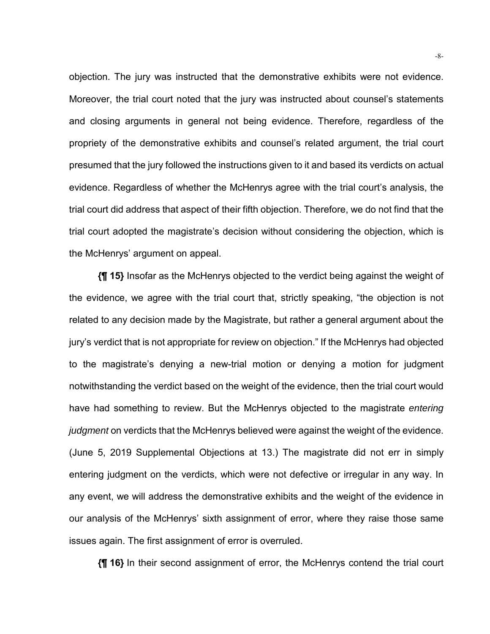objection. The jury was instructed that the demonstrative exhibits were not evidence. Moreover, the trial court noted that the jury was instructed about counsel's statements and closing arguments in general not being evidence. Therefore, regardless of the propriety of the demonstrative exhibits and counsel's related argument, the trial court presumed that the jury followed the instructions given to it and based its verdicts on actual evidence. Regardless of whether the McHenrys agree with the trial court's analysis, the trial court did address that aspect of their fifth objection. Therefore, we do not find that the trial court adopted the magistrate's decision without considering the objection, which is the McHenrys' argument on appeal.

**{¶ 15}** Insofar as the McHenrys objected to the verdict being against the weight of the evidence, we agree with the trial court that, strictly speaking, "the objection is not related to any decision made by the Magistrate, but rather a general argument about the jury's verdict that is not appropriate for review on objection." If the McHenrys had objected to the magistrate's denying a new-trial motion or denying a motion for judgment notwithstanding the verdict based on the weight of the evidence, then the trial court would have had something to review. But the McHenrys objected to the magistrate *entering judgment* on verdicts that the McHenrys believed were against the weight of the evidence. (June 5, 2019 Supplemental Objections at 13.) The magistrate did not err in simply entering judgment on the verdicts, which were not defective or irregular in any way. In any event, we will address the demonstrative exhibits and the weight of the evidence in our analysis of the McHenrys' sixth assignment of error, where they raise those same issues again. The first assignment of error is overruled.

**{¶ 16}** In their second assignment of error, the McHenrys contend the trial court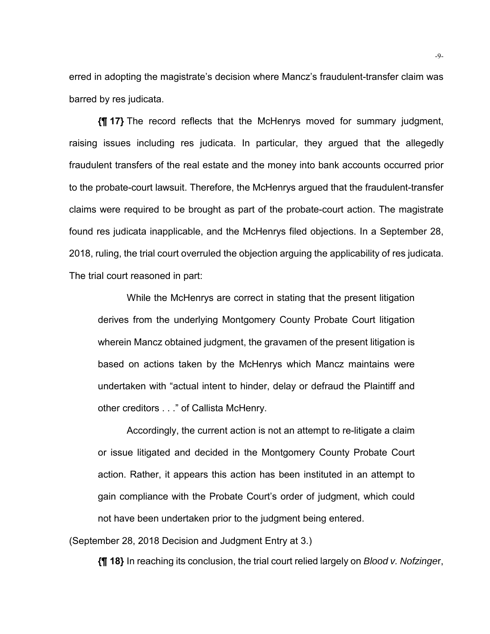erred in adopting the magistrate's decision where Mancz's fraudulent-transfer claim was barred by res judicata.

**{¶ 17}** The record reflects that the McHenrys moved for summary judgment, raising issues including res judicata. In particular, they argued that the allegedly fraudulent transfers of the real estate and the money into bank accounts occurred prior to the probate-court lawsuit. Therefore, the McHenrys argued that the fraudulent-transfer claims were required to be brought as part of the probate-court action. The magistrate found res judicata inapplicable, and the McHenrys filed objections. In a September 28, 2018, ruling, the trial court overruled the objection arguing the applicability of res judicata. The trial court reasoned in part:

 While the McHenrys are correct in stating that the present litigation derives from the underlying Montgomery County Probate Court litigation wherein Mancz obtained judgment, the gravamen of the present litigation is based on actions taken by the McHenrys which Mancz maintains were undertaken with "actual intent to hinder, delay or defraud the Plaintiff and other creditors . . ." of Callista McHenry.

 Accordingly, the current action is not an attempt to re-litigate a claim or issue litigated and decided in the Montgomery County Probate Court action. Rather, it appears this action has been instituted in an attempt to gain compliance with the Probate Court's order of judgment, which could not have been undertaken prior to the judgment being entered.

(September 28, 2018 Decision and Judgment Entry at 3.)

**{¶ 18}** In reaching its conclusion, the trial court relied largely on *Blood v. Nofzinge*r,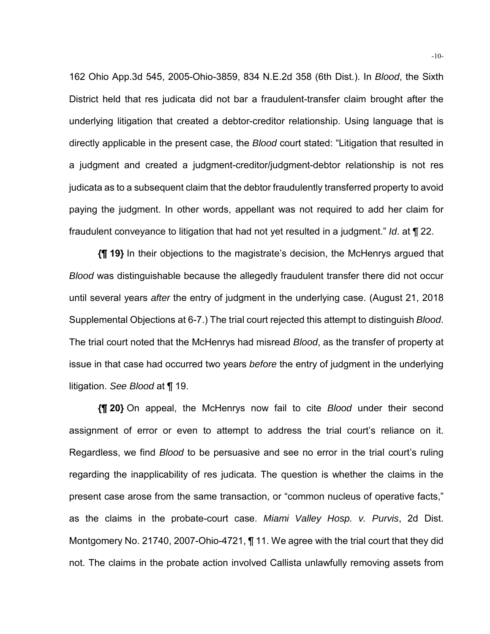162 Ohio App.3d 545, 2005-Ohio-3859, 834 N.E.2d 358 (6th Dist.). In *Blood*, the Sixth District held that res judicata did not bar a fraudulent-transfer claim brought after the underlying litigation that created a debtor-creditor relationship. Using language that is directly applicable in the present case, the *Blood* court stated: "Litigation that resulted in a judgment and created a judgment-creditor/judgment-debtor relationship is not res judicata as to a subsequent claim that the debtor fraudulently transferred property to avoid paying the judgment. In other words, appellant was not required to add her claim for fraudulent conveyance to litigation that had not yet resulted in a judgment." *Id*. at ¶ 22.

**{¶ 19}** In their objections to the magistrate's decision, the McHenrys argued that *Blood* was distinguishable because the allegedly fraudulent transfer there did not occur until several years *after* the entry of judgment in the underlying case. (August 21, 2018 Supplemental Objections at 6-7.) The trial court rejected this attempt to distinguish *Blood*. The trial court noted that the McHenrys had misread *Blood*, as the transfer of property at issue in that case had occurred two years *before* the entry of judgment in the underlying litigation. *See Blood* at ¶ 19.

**{¶ 20}** On appeal, the McHenrys now fail to cite *Blood* under their second assignment of error or even to attempt to address the trial court's reliance on it. Regardless, we find *Blood* to be persuasive and see no error in the trial court's ruling regarding the inapplicability of res judicata. The question is whether the claims in the present case arose from the same transaction, or "common nucleus of operative facts," as the claims in the probate-court case. *Miami Valley Hosp. v. Purvis*, 2d Dist. Montgomery No. 21740, 2007-Ohio-4721, ¶ 11. We agree with the trial court that they did not. The claims in the probate action involved Callista unlawfully removing assets from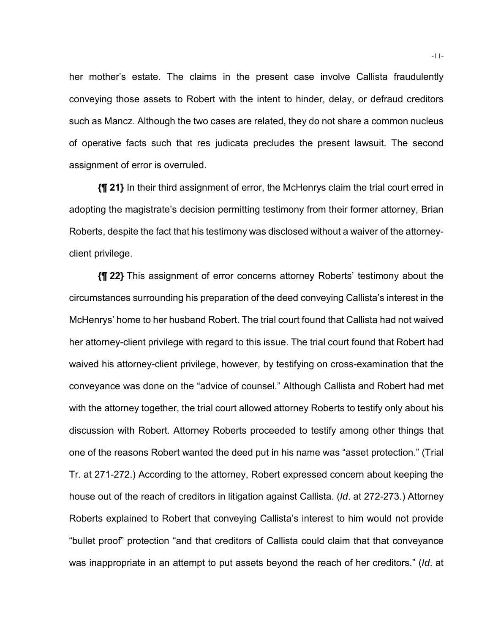her mother's estate. The claims in the present case involve Callista fraudulently conveying those assets to Robert with the intent to hinder, delay, or defraud creditors such as Mancz. Although the two cases are related, they do not share a common nucleus of operative facts such that res judicata precludes the present lawsuit. The second assignment of error is overruled.

**{¶ 21}** In their third assignment of error, the McHenrys claim the trial court erred in adopting the magistrate's decision permitting testimony from their former attorney, Brian Roberts, despite the fact that his testimony was disclosed without a waiver of the attorneyclient privilege.

**{¶ 22}** This assignment of error concerns attorney Roberts' testimony about the circumstances surrounding his preparation of the deed conveying Callista's interest in the McHenrys' home to her husband Robert. The trial court found that Callista had not waived her attorney-client privilege with regard to this issue. The trial court found that Robert had waived his attorney-client privilege, however, by testifying on cross-examination that the conveyance was done on the "advice of counsel." Although Callista and Robert had met with the attorney together, the trial court allowed attorney Roberts to testify only about his discussion with Robert. Attorney Roberts proceeded to testify among other things that one of the reasons Robert wanted the deed put in his name was "asset protection." (Trial Tr. at 271-272.) According to the attorney, Robert expressed concern about keeping the house out of the reach of creditors in litigation against Callista. (*Id*. at 272-273.) Attorney Roberts explained to Robert that conveying Callista's interest to him would not provide "bullet proof" protection "and that creditors of Callista could claim that that conveyance was inappropriate in an attempt to put assets beyond the reach of her creditors." (*Id*. at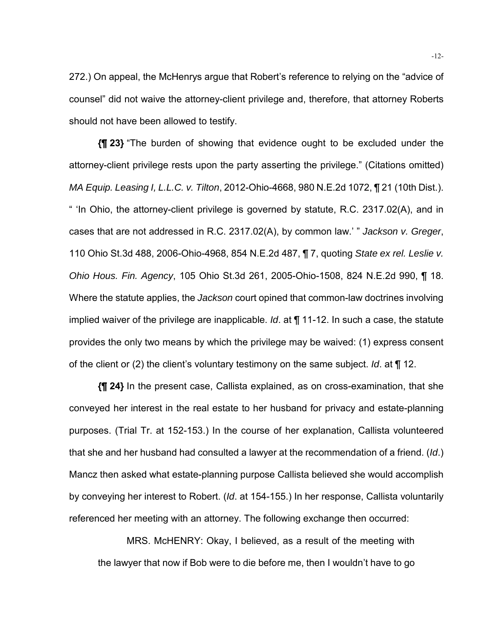272.) On appeal, the McHenrys argue that Robert's reference to relying on the "advice of counsel" did not waive the attorney-client privilege and, therefore, that attorney Roberts should not have been allowed to testify.

**{¶ 23}** "The burden of showing that evidence ought to be excluded under the attorney-client privilege rests upon the party asserting the privilege." (Citations omitted) *MA Equip. Leasing I, L.L.C. v. Tilton*, 2012-Ohio-4668, 980 N.E.2d 1072, ¶ 21 (10th Dist.). " 'In Ohio, the attorney-client privilege is governed by statute, R.C. 2317.02(A), and in cases that are not addressed in R.C. 2317.02(A), by common law.' " *Jackson v. Greger*, 110 Ohio St.3d 488, 2006-Ohio-4968, 854 N.E.2d 487, ¶ 7, quoting *State ex rel. Leslie v. Ohio Hous. Fin. Agency*, 105 Ohio St.3d 261, 2005-Ohio-1508, 824 N.E.2d 990, ¶ 18. Where the statute applies, the *Jackson* court opined that common-law doctrines involving implied waiver of the privilege are inapplicable. *Id*. at ¶ 11-12. In such a case, the statute provides the only two means by which the privilege may be waived: (1) express consent of the client or (2) the client's voluntary testimony on the same subject. *Id*. at ¶ 12.

**{¶ 24}** In the present case, Callista explained, as on cross-examination, that she conveyed her interest in the real estate to her husband for privacy and estate-planning purposes. (Trial Tr. at 152-153.) In the course of her explanation, Callista volunteered that she and her husband had consulted a lawyer at the recommendation of a friend. (*Id*.) Mancz then asked what estate-planning purpose Callista believed she would accomplish by conveying her interest to Robert. (*Id*. at 154-155.) In her response, Callista voluntarily referenced her meeting with an attorney. The following exchange then occurred:

 MRS. McHENRY: Okay, I believed, as a result of the meeting with the lawyer that now if Bob were to die before me, then I wouldn't have to go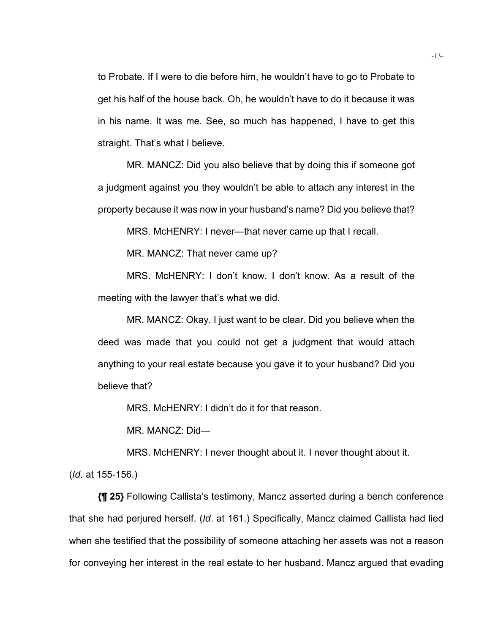to Probate. If I were to die before him, he wouldn't have to go to Probate to get his half of the house back. Oh, he wouldn't have to do it because it was in his name. It was me. See, so much has happened, I have to get this straight. That's what I believe.

 MR. MANCZ: Did you also believe that by doing this if someone got a judgment against you they wouldn't be able to attach any interest in the property because it was now in your husband's name? Did you believe that?

MRS. McHENRY: I never—that never came up that I recall.

MR. MANCZ: That never came up?

 MRS. McHENRY: I don't know. I don't know. As a result of the meeting with the lawyer that's what we did.

 MR. MANCZ: Okay. I just want to be clear. Did you believe when the deed was made that you could not get a judgment that would attach anything to your real estate because you gave it to your husband? Did you believe that?

MRS. McHENRY: I didn't do it for that reason.

MR. MANCZ: Did—

MRS. McHENRY: I never thought about it. I never thought about it.

(*Id*. at 155-156.)

**{¶ 25}** Following Callista's testimony, Mancz asserted during a bench conference that she had perjured herself. (*Id*. at 161.) Specifically, Mancz claimed Callista had lied when she testified that the possibility of someone attaching her assets was not a reason for conveying her interest in the real estate to her husband. Mancz argued that evading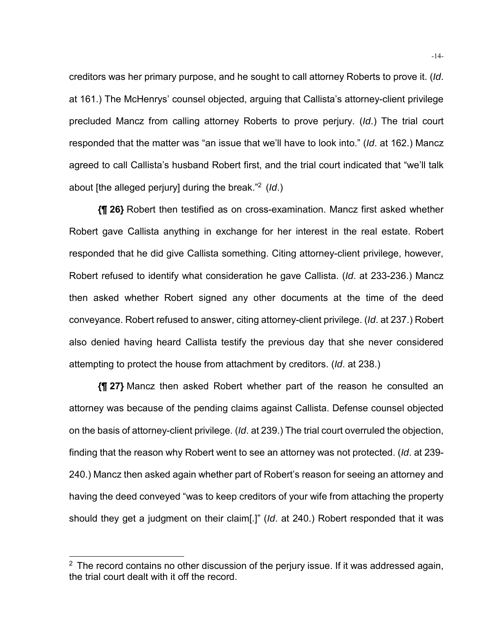creditors was her primary purpose, and he sought to call attorney Roberts to prove it. (*Id*. at 161.) The McHenrys' counsel objected, arguing that Callista's attorney-client privilege precluded Mancz from calling attorney Roberts to prove perjury. (*Id*.) The trial court responded that the matter was "an issue that we'll have to look into." (*Id*. at 162.) Mancz agreed to call Callista's husband Robert first, and the trial court indicated that "we'll talk about [the alleged perjury] during the break."2 (*Id*.)

**{¶ 26}** Robert then testified as on cross-examination. Mancz first asked whether Robert gave Callista anything in exchange for her interest in the real estate. Robert responded that he did give Callista something. Citing attorney-client privilege, however, Robert refused to identify what consideration he gave Callista. (*Id*. at 233-236.) Mancz then asked whether Robert signed any other documents at the time of the deed conveyance. Robert refused to answer, citing attorney-client privilege. (*Id*. at 237.) Robert also denied having heard Callista testify the previous day that she never considered attempting to protect the house from attachment by creditors. (*Id*. at 238.)

**{¶ 27}** Mancz then asked Robert whether part of the reason he consulted an attorney was because of the pending claims against Callista. Defense counsel objected on the basis of attorney-client privilege. (*Id*. at 239.) The trial court overruled the objection, finding that the reason why Robert went to see an attorney was not protected. (*Id*. at 239- 240.) Mancz then asked again whether part of Robert's reason for seeing an attorney and having the deed conveyed "was to keep creditors of your wife from attaching the property should they get a judgment on their claim[.]" (*Id*. at 240.) Robert responded that it was

l

 $2$  The record contains no other discussion of the perjury issue. If it was addressed again, the trial court dealt with it off the record.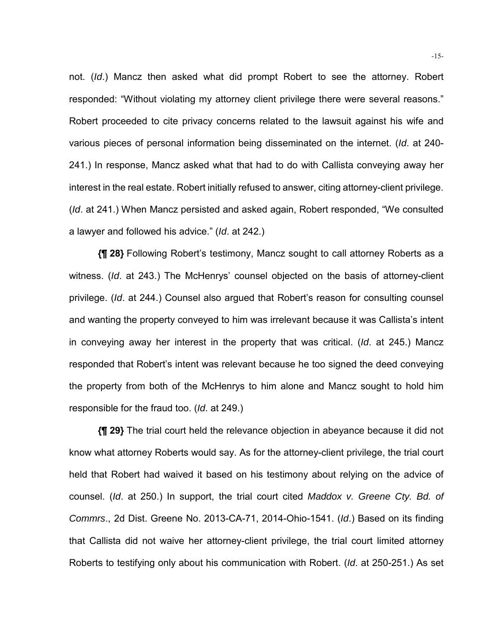not. (*Id*.) Mancz then asked what did prompt Robert to see the attorney. Robert responded: "Without violating my attorney client privilege there were several reasons." Robert proceeded to cite privacy concerns related to the lawsuit against his wife and various pieces of personal information being disseminated on the internet. (*Id*. at 240- 241.) In response, Mancz asked what that had to do with Callista conveying away her interest in the real estate. Robert initially refused to answer, citing attorney-client privilege. (*Id*. at 241.) When Mancz persisted and asked again, Robert responded, "We consulted a lawyer and followed his advice." (*Id*. at 242.)

**{¶ 28}** Following Robert's testimony, Mancz sought to call attorney Roberts as a witness. (*Id*. at 243.) The McHenrys' counsel objected on the basis of attorney-client privilege. (*Id*. at 244.) Counsel also argued that Robert's reason for consulting counsel and wanting the property conveyed to him was irrelevant because it was Callista's intent in conveying away her interest in the property that was critical. (*Id*. at 245.) Mancz responded that Robert's intent was relevant because he too signed the deed conveying the property from both of the McHenrys to him alone and Mancz sought to hold him responsible for the fraud too. (*Id*. at 249.)

**{¶ 29}** The trial court held the relevance objection in abeyance because it did not know what attorney Roberts would say. As for the attorney-client privilege, the trial court held that Robert had waived it based on his testimony about relying on the advice of counsel. (*Id*. at 250.) In support, the trial court cited *Maddox v. Greene Cty. Bd. of Commrs*., 2d Dist. Greene No. 2013-CA-71, 2014-Ohio-1541. (*Id*.) Based on its finding that Callista did not waive her attorney-client privilege, the trial court limited attorney Roberts to testifying only about his communication with Robert. (*Id*. at 250-251.) As set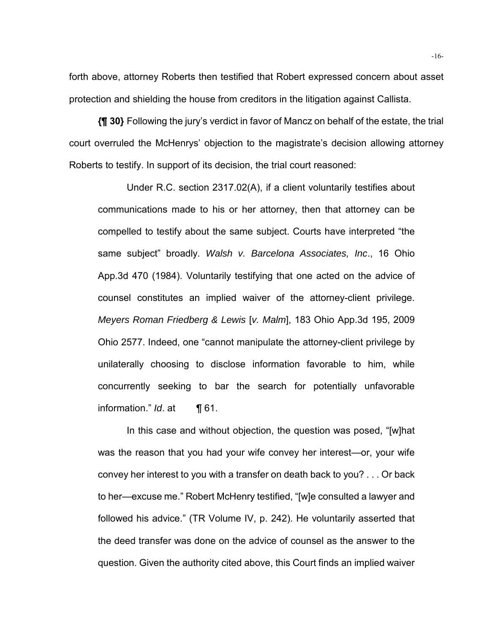forth above, attorney Roberts then testified that Robert expressed concern about asset protection and shielding the house from creditors in the litigation against Callista.

**{¶ 30}** Following the jury's verdict in favor of Mancz on behalf of the estate, the trial court overruled the McHenrys' objection to the magistrate's decision allowing attorney Roberts to testify. In support of its decision, the trial court reasoned:

 Under R.C. section 2317.02(A), if a client voluntarily testifies about communications made to his or her attorney, then that attorney can be compelled to testify about the same subject. Courts have interpreted "the same subject" broadly. *Walsh v. Barcelona Associates, Inc*., 16 Ohio App.3d 470 (1984). Voluntarily testifying that one acted on the advice of counsel constitutes an implied waiver of the attorney-client privilege. *Meyers Roman Friedberg & Lewis* [*v. Malm*], 183 Ohio App.3d 195, 2009 Ohio 2577. Indeed, one "cannot manipulate the attorney-client privilege by unilaterally choosing to disclose information favorable to him, while concurrently seeking to bar the search for potentially unfavorable information." *Id*. at ¶ 61.

In this case and without objection, the question was posed, "[w]hat was the reason that you had your wife convey her interest—or, your wife convey her interest to you with a transfer on death back to you? . . . Or back to her—excuse me." Robert McHenry testified, "[w]e consulted a lawyer and followed his advice." (TR Volume IV, p. 242). He voluntarily asserted that the deed transfer was done on the advice of counsel as the answer to the question. Given the authority cited above, this Court finds an implied waiver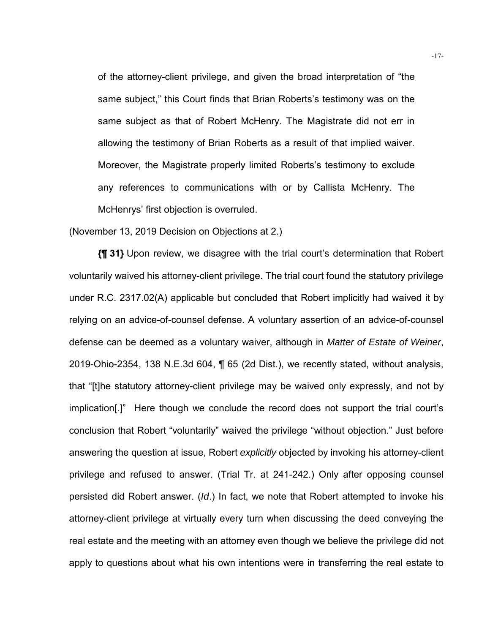of the attorney-client privilege, and given the broad interpretation of "the same subject," this Court finds that Brian Roberts's testimony was on the same subject as that of Robert McHenry. The Magistrate did not err in allowing the testimony of Brian Roberts as a result of that implied waiver. Moreover, the Magistrate properly limited Roberts's testimony to exclude any references to communications with or by Callista McHenry. The McHenrys' first objection is overruled.

(November 13, 2019 Decision on Objections at 2.)

**{¶ 31}** Upon review, we disagree with the trial court's determination that Robert voluntarily waived his attorney-client privilege. The trial court found the statutory privilege under R.C. 2317.02(A) applicable but concluded that Robert implicitly had waived it by relying on an advice-of-counsel defense. A voluntary assertion of an advice-of-counsel defense can be deemed as a voluntary waiver, although in *Matter of Estate of Weiner*, 2019-Ohio-2354, 138 N.E.3d 604, ¶ 65 (2d Dist.), we recently stated, without analysis, that "[t]he statutory attorney-client privilege may be waived only expressly, and not by implication[.]" Here though we conclude the record does not support the trial court's conclusion that Robert "voluntarily" waived the privilege "without objection." Just before answering the question at issue, Robert *explicitly* objected by invoking his attorney-client privilege and refused to answer. (Trial Tr. at 241-242.) Only after opposing counsel persisted did Robert answer. (*Id*.) In fact, we note that Robert attempted to invoke his attorney-client privilege at virtually every turn when discussing the deed conveying the real estate and the meeting with an attorney even though we believe the privilege did not apply to questions about what his own intentions were in transferring the real estate to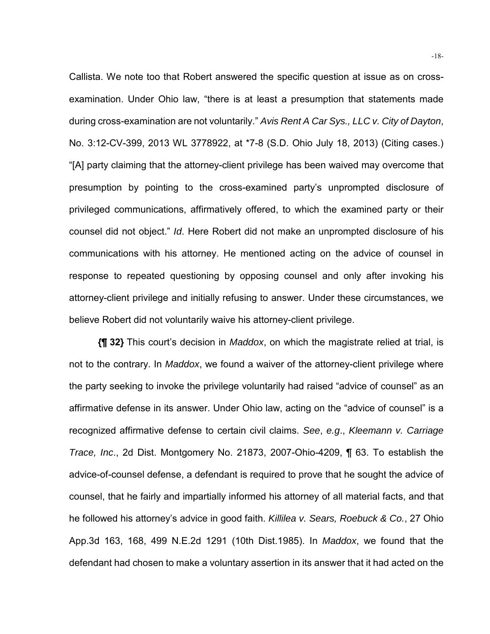Callista. We note too that Robert answered the specific question at issue as on crossexamination. Under Ohio law, "there is at least a presumption that statements made during cross-examination are not voluntarily." *Avis Rent A Car Sys., LLC v. City of Dayton*, No. 3:12-CV-399, 2013 WL 3778922, at \*7-8 (S.D. Ohio July 18, 2013) (Citing cases.) "[A] party claiming that the attorney-client privilege has been waived may overcome that presumption by pointing to the cross-examined party's unprompted disclosure of privileged communications, affirmatively offered, to which the examined party or their counsel did not object." *Id*. Here Robert did not make an unprompted disclosure of his communications with his attorney. He mentioned acting on the advice of counsel in response to repeated questioning by opposing counsel and only after invoking his attorney-client privilege and initially refusing to answer. Under these circumstances, we believe Robert did not voluntarily waive his attorney-client privilege.

**{¶ 32}** This court's decision in *Maddox*, on which the magistrate relied at trial, is not to the contrary. In *Maddox*, we found a waiver of the attorney-client privilege where the party seeking to invoke the privilege voluntarily had raised "advice of counsel" as an affirmative defense in its answer. Under Ohio law, acting on the "advice of counsel" is a recognized affirmative defense to certain civil claims. *See*, *e.g*., *Kleemann v. Carriage Trace, Inc*., 2d Dist. Montgomery No. 21873, 2007-Ohio-4209, ¶ 63. To establish the advice-of-counsel defense, a defendant is required to prove that he sought the advice of counsel, that he fairly and impartially informed his attorney of all material facts, and that he followed his attorney's advice in good faith. *Killilea v. Sears, Roebuck & Co.*, 27 Ohio App.3d 163, 168, 499 N.E.2d 1291 (10th Dist.1985). In *Maddox*, we found that the defendant had chosen to make a voluntary assertion in its answer that it had acted on the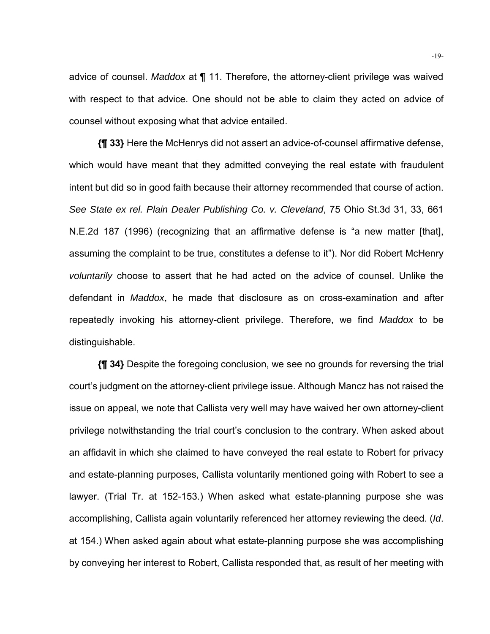advice of counsel. *Maddox* at ¶ 11. Therefore, the attorney-client privilege was waived with respect to that advice. One should not be able to claim they acted on advice of counsel without exposing what that advice entailed.

**{¶ 33}** Here the McHenrys did not assert an advice-of-counsel affirmative defense, which would have meant that they admitted conveying the real estate with fraudulent intent but did so in good faith because their attorney recommended that course of action. *See State ex rel. Plain Dealer Publishing Co. v. Cleveland*, 75 Ohio St.3d 31, 33, 661 N.E.2d 187 (1996) (recognizing that an affirmative defense is "a new matter [that], assuming the complaint to be true, constitutes a defense to it"). Nor did Robert McHenry *voluntarily* choose to assert that he had acted on the advice of counsel. Unlike the defendant in *Maddox*, he made that disclosure as on cross-examination and after repeatedly invoking his attorney-client privilege. Therefore, we find *Maddox* to be distinguishable.

**{¶ 34}** Despite the foregoing conclusion, we see no grounds for reversing the trial court's judgment on the attorney-client privilege issue. Although Mancz has not raised the issue on appeal, we note that Callista very well may have waived her own attorney-client privilege notwithstanding the trial court's conclusion to the contrary. When asked about an affidavit in which she claimed to have conveyed the real estate to Robert for privacy and estate-planning purposes, Callista voluntarily mentioned going with Robert to see a lawyer. (Trial Tr. at 152-153.) When asked what estate-planning purpose she was accomplishing, Callista again voluntarily referenced her attorney reviewing the deed. (*Id*. at 154.) When asked again about what estate-planning purpose she was accomplishing by conveying her interest to Robert, Callista responded that, as result of her meeting with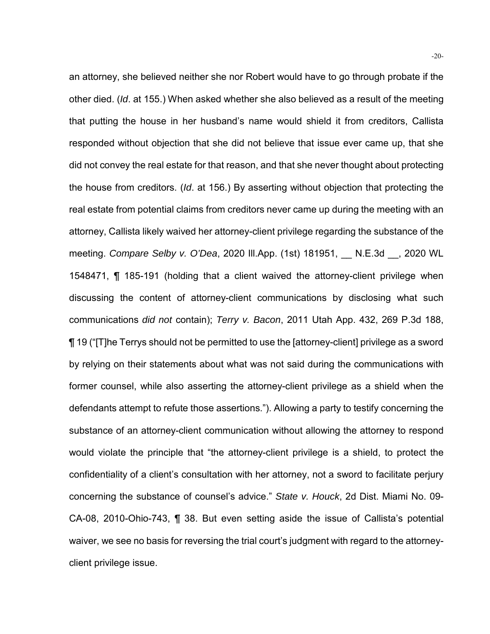an attorney, she believed neither she nor Robert would have to go through probate if the other died. (*Id*. at 155.) When asked whether she also believed as a result of the meeting that putting the house in her husband's name would shield it from creditors, Callista responded without objection that she did not believe that issue ever came up, that she did not convey the real estate for that reason, and that she never thought about protecting the house from creditors. (*Id*. at 156.) By asserting without objection that protecting the real estate from potential claims from creditors never came up during the meeting with an attorney, Callista likely waived her attorney-client privilege regarding the substance of the meeting. *Compare Selby v. O'Dea*, 2020 Ill.App. (1st) 181951, \_\_ N.E.3d \_\_, 2020 WL 1548471, ¶ 185-191 (holding that a client waived the attorney-client privilege when discussing the content of attorney-client communications by disclosing what such communications *did not* contain); *Terry v. Bacon*, 2011 Utah App. 432, 269 P.3d 188, ¶ 19 ("[T]he Terrys should not be permitted to use the [attorney-client] privilege as a sword by relying on their statements about what was not said during the communications with former counsel, while also asserting the attorney-client privilege as a shield when the defendants attempt to refute those assertions."). Allowing a party to testify concerning the substance of an attorney-client communication without allowing the attorney to respond would violate the principle that "the attorney-client privilege is a shield, to protect the confidentiality of a client's consultation with her attorney, not a sword to facilitate perjury concerning the substance of counsel's advice." *State v. Houck*, 2d Dist. Miami No. 09- CA-08, 2010-Ohio-743, ¶ 38. But even setting aside the issue of Callista's potential waiver, we see no basis for reversing the trial court's judgment with regard to the attorneyclient privilege issue.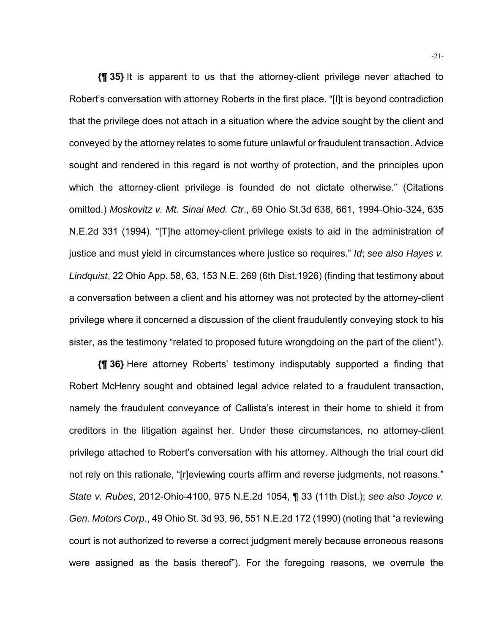**{¶ 35}** It is apparent to us that the attorney-client privilege never attached to Robert's conversation with attorney Roberts in the first place. "[I]t is beyond contradiction that the privilege does not attach in a situation where the advice sought by the client and conveyed by the attorney relates to some future unlawful or fraudulent transaction. Advice sought and rendered in this regard is not worthy of protection, and the principles upon which the attorney-client privilege is founded do not dictate otherwise." (Citations omitted.) *Moskovitz v. Mt. Sinai Med. Ctr*., 69 Ohio St.3d 638, 661, 1994-Ohio-324, 635 N.E.2d 331 (1994). "[T]he attorney-client privilege exists to aid in the administration of justice and must yield in circumstances where justice so requires." *Id*; *see also Hayes v. Lindquist*, 22 Ohio App. 58, 63, 153 N.E. 269 (6th Dist.1926) (finding that testimony about a conversation between a client and his attorney was not protected by the attorney-client privilege where it concerned a discussion of the client fraudulently conveying stock to his sister, as the testimony "related to proposed future wrongdoing on the part of the client").

**{¶ 36}** Here attorney Roberts' testimony indisputably supported a finding that Robert McHenry sought and obtained legal advice related to a fraudulent transaction, namely the fraudulent conveyance of Callista's interest in their home to shield it from creditors in the litigation against her. Under these circumstances, no attorney-client privilege attached to Robert's conversation with his attorney. Although the trial court did not rely on this rationale, "[r]eviewing courts affirm and reverse judgments, not reasons." *State v. Rubes*, 2012-Ohio-4100, 975 N.E.2d 1054, ¶ 33 (11th Dist.); *see also Joyce v. Gen. Motors Corp*., 49 Ohio St. 3d 93, 96, 551 N.E.2d 172 (1990) (noting that "a reviewing court is not authorized to reverse a correct judgment merely because erroneous reasons were assigned as the basis thereof"). For the foregoing reasons, we overrule the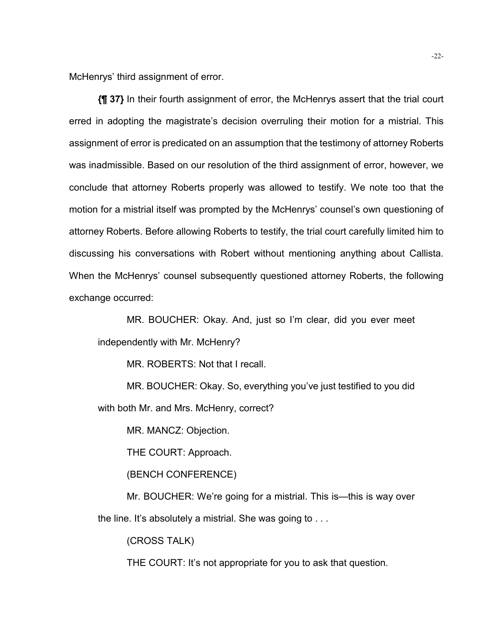McHenrys' third assignment of error.

**{¶ 37}** In their fourth assignment of error, the McHenrys assert that the trial court erred in adopting the magistrate's decision overruling their motion for a mistrial. This assignment of error is predicated on an assumption that the testimony of attorney Roberts was inadmissible. Based on our resolution of the third assignment of error, however, we conclude that attorney Roberts properly was allowed to testify. We note too that the motion for a mistrial itself was prompted by the McHenrys' counsel's own questioning of attorney Roberts. Before allowing Roberts to testify, the trial court carefully limited him to discussing his conversations with Robert without mentioning anything about Callista. When the McHenrys' counsel subsequently questioned attorney Roberts, the following exchange occurred:

 MR. BOUCHER: Okay. And, just so I'm clear, did you ever meet independently with Mr. McHenry?

MR. ROBERTS: Not that I recall.

 MR. BOUCHER: Okay. So, everything you've just testified to you did with both Mr. and Mrs. McHenry, correct?

MR. MANCZ: Objection.

THE COURT: Approach.

(BENCH CONFERENCE)

 Mr. BOUCHER: We're going for a mistrial. This is—this is way over the line. It's absolutely a mistrial. She was going to . . .

(CROSS TALK)

THE COURT: It's not appropriate for you to ask that question.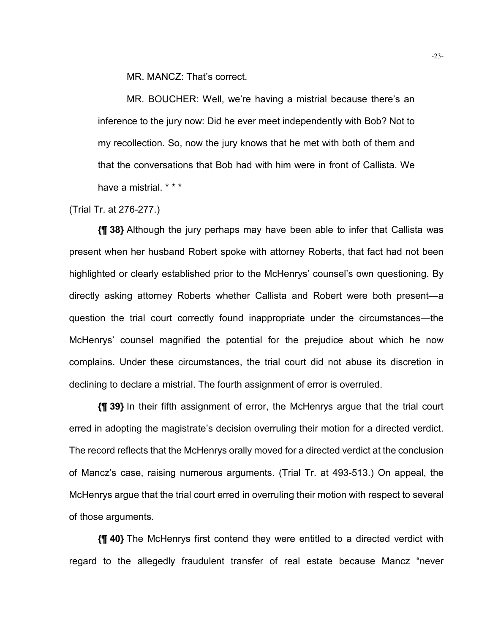MR. MANCZ: That's correct.

 MR. BOUCHER: Well, we're having a mistrial because there's an inference to the jury now: Did he ever meet independently with Bob? Not to my recollection. So, now the jury knows that he met with both of them and that the conversations that Bob had with him were in front of Callista. We have a mistrial. \* \* \*

(Trial Tr. at 276-277.)

**{¶ 38}** Although the jury perhaps may have been able to infer that Callista was present when her husband Robert spoke with attorney Roberts, that fact had not been highlighted or clearly established prior to the McHenrys' counsel's own questioning. By directly asking attorney Roberts whether Callista and Robert were both present—a question the trial court correctly found inappropriate under the circumstances—the McHenrys' counsel magnified the potential for the prejudice about which he now complains. Under these circumstances, the trial court did not abuse its discretion in declining to declare a mistrial. The fourth assignment of error is overruled.

**{¶ 39}** In their fifth assignment of error, the McHenrys argue that the trial court erred in adopting the magistrate's decision overruling their motion for a directed verdict. The record reflects that the McHenrys orally moved for a directed verdict at the conclusion of Mancz's case, raising numerous arguments. (Trial Tr. at 493-513.) On appeal, the McHenrys argue that the trial court erred in overruling their motion with respect to several of those arguments.

**{¶ 40}** The McHenrys first contend they were entitled to a directed verdict with regard to the allegedly fraudulent transfer of real estate because Mancz "never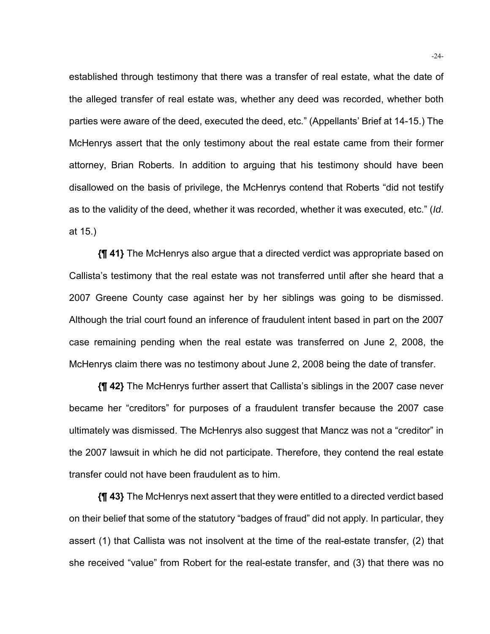established through testimony that there was a transfer of real estate, what the date of the alleged transfer of real estate was, whether any deed was recorded, whether both parties were aware of the deed, executed the deed, etc." (Appellants' Brief at 14-15.) The McHenrys assert that the only testimony about the real estate came from their former attorney, Brian Roberts. In addition to arguing that his testimony should have been disallowed on the basis of privilege, the McHenrys contend that Roberts "did not testify as to the validity of the deed, whether it was recorded, whether it was executed, etc." (*Id*. at 15.)

**{¶ 41}** The McHenrys also argue that a directed verdict was appropriate based on Callista's testimony that the real estate was not transferred until after she heard that a 2007 Greene County case against her by her siblings was going to be dismissed. Although the trial court found an inference of fraudulent intent based in part on the 2007 case remaining pending when the real estate was transferred on June 2, 2008, the McHenrys claim there was no testimony about June 2, 2008 being the date of transfer.

**{¶ 42}** The McHenrys further assert that Callista's siblings in the 2007 case never became her "creditors" for purposes of a fraudulent transfer because the 2007 case ultimately was dismissed. The McHenrys also suggest that Mancz was not a "creditor" in the 2007 lawsuit in which he did not participate. Therefore, they contend the real estate transfer could not have been fraudulent as to him.

**{¶ 43}** The McHenrys next assert that they were entitled to a directed verdict based on their belief that some of the statutory "badges of fraud" did not apply. In particular, they assert (1) that Callista was not insolvent at the time of the real-estate transfer, (2) that she received "value" from Robert for the real-estate transfer, and (3) that there was no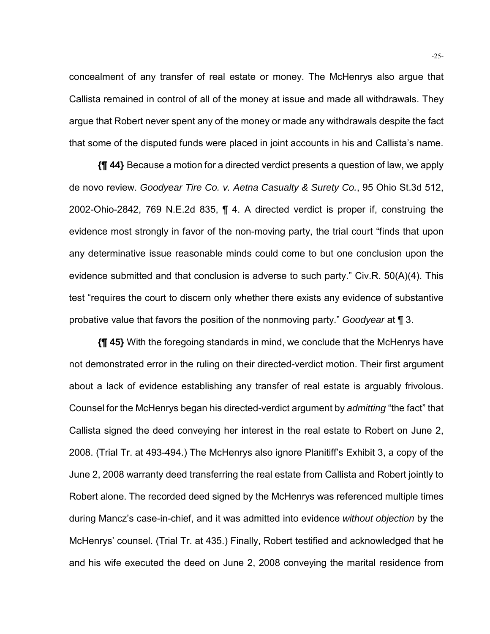concealment of any transfer of real estate or money. The McHenrys also argue that Callista remained in control of all of the money at issue and made all withdrawals. They argue that Robert never spent any of the money or made any withdrawals despite the fact that some of the disputed funds were placed in joint accounts in his and Callista's name.

**{¶ 44}** Because a motion for a directed verdict presents a question of law, we apply de novo review. *Goodyear Tire Co. v. Aetna Casualty & Surety Co.*, 95 Ohio St.3d 512, 2002-Ohio-2842, 769 N.E.2d 835, ¶ 4. A directed verdict is proper if, construing the evidence most strongly in favor of the non-moving party, the trial court "finds that upon any determinative issue reasonable minds could come to but one conclusion upon the evidence submitted and that conclusion is adverse to such party." Civ.R. 50(A)(4). This test "requires the court to discern only whether there exists any evidence of substantive probative value that favors the position of the nonmoving party." *Goodyear* at ¶ 3.

**{¶ 45}** With the foregoing standards in mind, we conclude that the McHenrys have not demonstrated error in the ruling on their directed-verdict motion. Their first argument about a lack of evidence establishing any transfer of real estate is arguably frivolous. Counsel for the McHenrys began his directed-verdict argument by *admitting* "the fact" that Callista signed the deed conveying her interest in the real estate to Robert on June 2, 2008. (Trial Tr. at 493-494.) The McHenrys also ignore Planitiff's Exhibit 3, a copy of the June 2, 2008 warranty deed transferring the real estate from Callista and Robert jointly to Robert alone. The recorded deed signed by the McHenrys was referenced multiple times during Mancz's case-in-chief, and it was admitted into evidence *without objection* by the McHenrys' counsel. (Trial Tr. at 435.) Finally, Robert testified and acknowledged that he and his wife executed the deed on June 2, 2008 conveying the marital residence from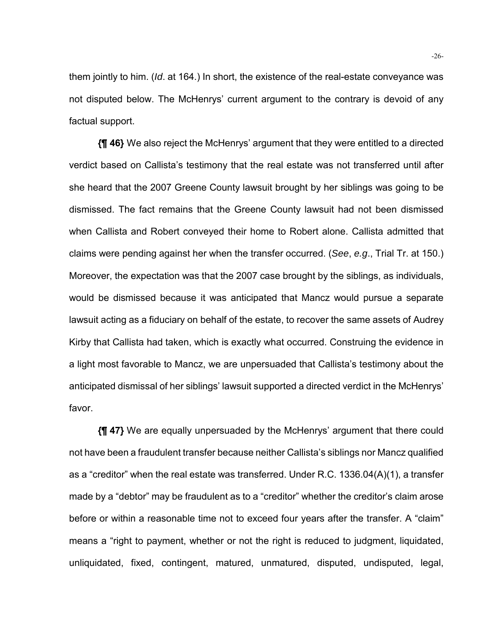them jointly to him. (*Id*. at 164.) In short, the existence of the real-estate conveyance was not disputed below. The McHenrys' current argument to the contrary is devoid of any factual support.

**{¶ 46}** We also reject the McHenrys' argument that they were entitled to a directed verdict based on Callista's testimony that the real estate was not transferred until after she heard that the 2007 Greene County lawsuit brought by her siblings was going to be dismissed. The fact remains that the Greene County lawsuit had not been dismissed when Callista and Robert conveyed their home to Robert alone. Callista admitted that claims were pending against her when the transfer occurred. (*See*, *e.g*., Trial Tr. at 150.) Moreover, the expectation was that the 2007 case brought by the siblings, as individuals, would be dismissed because it was anticipated that Mancz would pursue a separate lawsuit acting as a fiduciary on behalf of the estate, to recover the same assets of Audrey Kirby that Callista had taken, which is exactly what occurred. Construing the evidence in a light most favorable to Mancz, we are unpersuaded that Callista's testimony about the anticipated dismissal of her siblings' lawsuit supported a directed verdict in the McHenrys' favor.

**{¶ 47}** We are equally unpersuaded by the McHenrys' argument that there could not have been a fraudulent transfer because neither Callista's siblings nor Mancz qualified as a "creditor" when the real estate was transferred. Under R.C. 1336.04(A)(1), a transfer made by a "debtor" may be fraudulent as to a "creditor" whether the creditor's claim arose before or within a reasonable time not to exceed four years after the transfer. A "claim" means a "right to payment, whether or not the right is reduced to judgment, liquidated, unliquidated, fixed, contingent, matured, unmatured, disputed, undisputed, legal,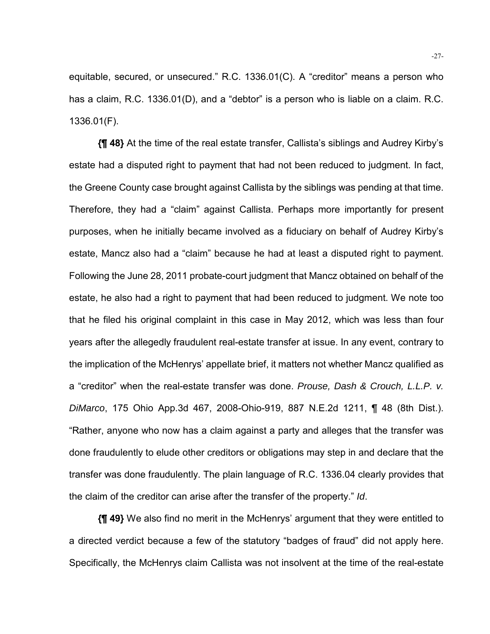equitable, secured, or unsecured." R.C. 1336.01(C). A "creditor" means a person who has a claim, R.C. 1336.01(D), and a "debtor" is a person who is liable on a claim. R.C. 1336.01(F).

**{¶ 48}** At the time of the real estate transfer, Callista's siblings and Audrey Kirby's estate had a disputed right to payment that had not been reduced to judgment. In fact, the Greene County case brought against Callista by the siblings was pending at that time. Therefore, they had a "claim" against Callista. Perhaps more importantly for present purposes, when he initially became involved as a fiduciary on behalf of Audrey Kirby's estate, Mancz also had a "claim" because he had at least a disputed right to payment. Following the June 28, 2011 probate-court judgment that Mancz obtained on behalf of the estate, he also had a right to payment that had been reduced to judgment. We note too that he filed his original complaint in this case in May 2012, which was less than four years after the allegedly fraudulent real-estate transfer at issue. In any event, contrary to the implication of the McHenrys' appellate brief, it matters not whether Mancz qualified as a "creditor" when the real-estate transfer was done. *Prouse, Dash & Crouch, L.L.P. v. DiMarco*, 175 Ohio App.3d 467, 2008-Ohio-919, 887 N.E.2d 1211, ¶ 48 (8th Dist.). "Rather, anyone who now has a claim against a party and alleges that the transfer was done fraudulently to elude other creditors or obligations may step in and declare that the transfer was done fraudulently. The plain language of R.C. 1336.04 clearly provides that the claim of the creditor can arise after the transfer of the property." *Id*.

**{¶ 49}** We also find no merit in the McHenrys' argument that they were entitled to a directed verdict because a few of the statutory "badges of fraud" did not apply here. Specifically, the McHenrys claim Callista was not insolvent at the time of the real-estate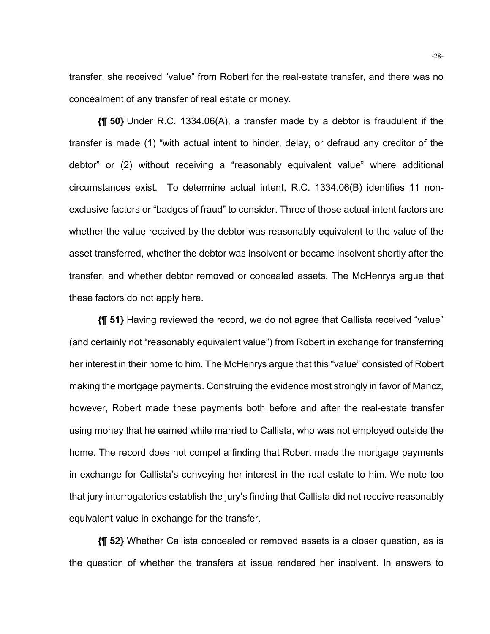transfer, she received "value" from Robert for the real-estate transfer, and there was no concealment of any transfer of real estate or money.

**{¶ 50}** Under R.C. 1334.06(A), a transfer made by a debtor is fraudulent if the transfer is made (1) "with actual intent to hinder, delay, or defraud any creditor of the debtor" or (2) without receiving a "reasonably equivalent value" where additional circumstances exist. To determine actual intent, R.C. 1334.06(B) identifies 11 nonexclusive factors or "badges of fraud" to consider. Three of those actual-intent factors are whether the value received by the debtor was reasonably equivalent to the value of the asset transferred, whether the debtor was insolvent or became insolvent shortly after the transfer, and whether debtor removed or concealed assets. The McHenrys argue that these factors do not apply here.

**{¶ 51}** Having reviewed the record, we do not agree that Callista received "value" (and certainly not "reasonably equivalent value") from Robert in exchange for transferring her interest in their home to him. The McHenrys argue that this "value" consisted of Robert making the mortgage payments. Construing the evidence most strongly in favor of Mancz, however, Robert made these payments both before and after the real-estate transfer using money that he earned while married to Callista, who was not employed outside the home. The record does not compel a finding that Robert made the mortgage payments in exchange for Callista's conveying her interest in the real estate to him. We note too that jury interrogatories establish the jury's finding that Callista did not receive reasonably equivalent value in exchange for the transfer.

**{¶ 52}** Whether Callista concealed or removed assets is a closer question, as is the question of whether the transfers at issue rendered her insolvent. In answers to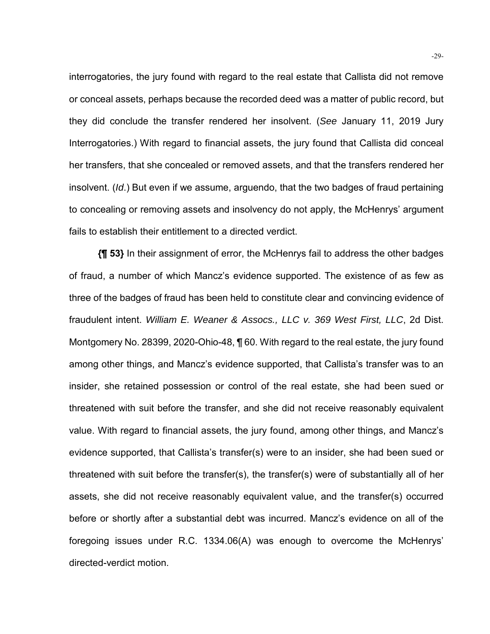interrogatories, the jury found with regard to the real estate that Callista did not remove or conceal assets, perhaps because the recorded deed was a matter of public record, but they did conclude the transfer rendered her insolvent. (*See* January 11, 2019 Jury Interrogatories.) With regard to financial assets, the jury found that Callista did conceal her transfers, that she concealed or removed assets, and that the transfers rendered her insolvent. (*Id*.) But even if we assume, arguendo, that the two badges of fraud pertaining to concealing or removing assets and insolvency do not apply, the McHenrys' argument fails to establish their entitlement to a directed verdict.

**{¶ 53}** In their assignment of error, the McHenrys fail to address the other badges of fraud, a number of which Mancz's evidence supported. The existence of as few as three of the badges of fraud has been held to constitute clear and convincing evidence of fraudulent intent. *William E. Weaner & Assocs., LLC v. 369 West First, LLC*, 2d Dist. Montgomery No. 28399, 2020-Ohio-48, ¶ 60. With regard to the real estate, the jury found among other things, and Mancz's evidence supported, that Callista's transfer was to an insider, she retained possession or control of the real estate, she had been sued or threatened with suit before the transfer, and she did not receive reasonably equivalent value. With regard to financial assets, the jury found, among other things, and Mancz's evidence supported, that Callista's transfer(s) were to an insider, she had been sued or threatened with suit before the transfer(s), the transfer(s) were of substantially all of her assets, she did not receive reasonably equivalent value, and the transfer(s) occurred before or shortly after a substantial debt was incurred. Mancz's evidence on all of the foregoing issues under R.C. 1334.06(A) was enough to overcome the McHenrys' directed-verdict motion.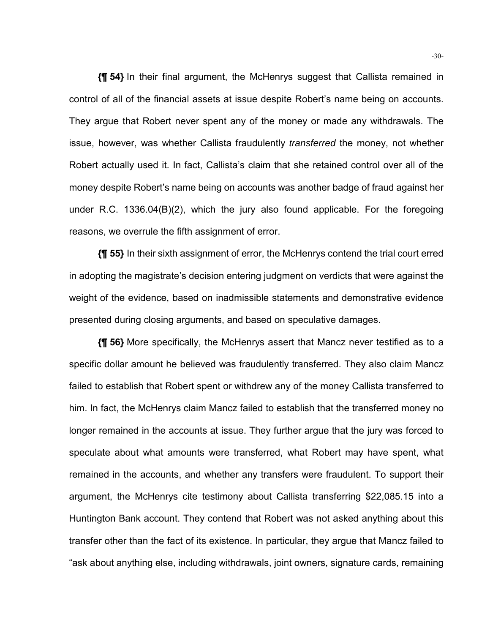**{¶ 54}** In their final argument, the McHenrys suggest that Callista remained in control of all of the financial assets at issue despite Robert's name being on accounts. They argue that Robert never spent any of the money or made any withdrawals. The issue, however, was whether Callista fraudulently *transferred* the money, not whether Robert actually used it. In fact, Callista's claim that she retained control over all of the money despite Robert's name being on accounts was another badge of fraud against her under R.C. 1336.04(B)(2), which the jury also found applicable. For the foregoing reasons, we overrule the fifth assignment of error.

**{¶ 55}** In their sixth assignment of error, the McHenrys contend the trial court erred in adopting the magistrate's decision entering judgment on verdicts that were against the weight of the evidence, based on inadmissible statements and demonstrative evidence presented during closing arguments, and based on speculative damages.

**{¶ 56}** More specifically, the McHenrys assert that Mancz never testified as to a specific dollar amount he believed was fraudulently transferred. They also claim Mancz failed to establish that Robert spent or withdrew any of the money Callista transferred to him. In fact, the McHenrys claim Mancz failed to establish that the transferred money no longer remained in the accounts at issue. They further argue that the jury was forced to speculate about what amounts were transferred, what Robert may have spent, what remained in the accounts, and whether any transfers were fraudulent. To support their argument, the McHenrys cite testimony about Callista transferring \$22,085.15 into a Huntington Bank account. They contend that Robert was not asked anything about this transfer other than the fact of its existence. In particular, they argue that Mancz failed to "ask about anything else, including withdrawals, joint owners, signature cards, remaining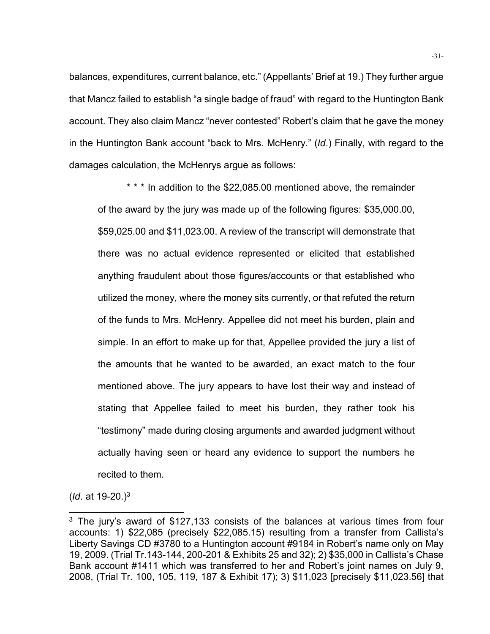balances, expenditures, current balance, etc." (Appellants' Brief at 19.) They further argue that Mancz failed to establish "a single badge of fraud" with regard to the Huntington Bank account. They also claim Mancz "never contested" Robert's claim that he gave the money in the Huntington Bank account "back to Mrs. McHenry." (*Id*.) Finally, with regard to the damages calculation, the McHenrys argue as follows:

\* \* \* In addition to the \$22,085.00 mentioned above, the remainder of the award by the jury was made up of the following figures: \$35,000.00, \$59,025.00 and \$11,023.00. A review of the transcript will demonstrate that there was no actual evidence represented or elicited that established anything fraudulent about those figures/accounts or that established who utilized the money, where the money sits currently, or that refuted the return of the funds to Mrs. McHenry. Appellee did not meet his burden, plain and simple. In an effort to make up for that, Appellee provided the jury a list of the amounts that he wanted to be awarded, an exact match to the four mentioned above. The jury appears to have lost their way and instead of stating that Appellee failed to meet his burden, they rather took his "testimony" made during closing arguments and awarded judgment without actually having seen or heard any evidence to support the numbers he recited to them.

(*Id*. at 19-20.)3

l

<sup>&</sup>lt;sup>3</sup> The jury's award of \$127,133 consists of the balances at various times from four accounts: 1) \$22,085 (precisely \$22,085.15) resulting from a transfer from Callista's Liberty Savings CD #3780 to a Huntington account #9184 in Robert's name only on May 19, 2009. (Trial Tr.143-144, 200-201 & Exhibits 25 and 32); 2) \$35,000 in Callista's Chase Bank account #1411 which was transferred to her and Robert's joint names on July 9, 2008, (Trial Tr. 100, 105, 119, 187 & Exhibit 17); 3) \$11,023 [precisely \$11,023.56] that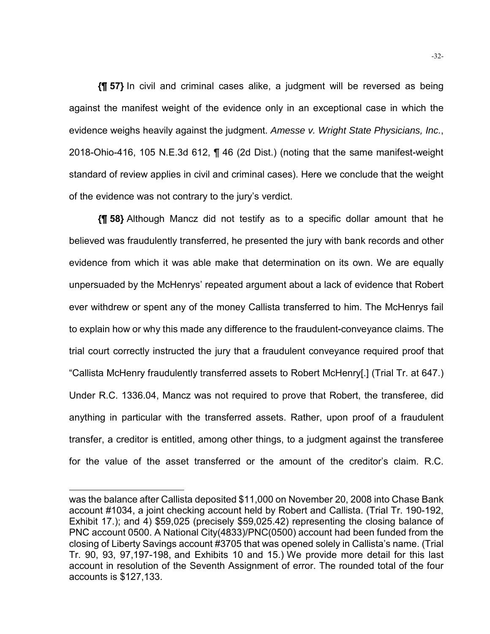**{¶ 57}** In civil and criminal cases alike, a judgment will be reversed as being against the manifest weight of the evidence only in an exceptional case in which the evidence weighs heavily against the judgment. *Amesse v. Wright State Physicians, Inc.*, 2018-Ohio-416, 105 N.E.3d 612, ¶ 46 (2d Dist.) (noting that the same manifest-weight standard of review applies in civil and criminal cases). Here we conclude that the weight of the evidence was not contrary to the jury's verdict.

**{¶ 58}** Although Mancz did not testify as to a specific dollar amount that he believed was fraudulently transferred, he presented the jury with bank records and other evidence from which it was able make that determination on its own. We are equally unpersuaded by the McHenrys' repeated argument about a lack of evidence that Robert ever withdrew or spent any of the money Callista transferred to him. The McHenrys fail to explain how or why this made any difference to the fraudulent-conveyance claims. The trial court correctly instructed the jury that a fraudulent conveyance required proof that "Callista McHenry fraudulently transferred assets to Robert McHenry[.] (Trial Tr. at 647.) Under R.C. 1336.04, Mancz was not required to prove that Robert, the transferee, did anything in particular with the transferred assets. Rather, upon proof of a fraudulent transfer, a creditor is entitled, among other things, to a judgment against the transferee for the value of the asset transferred or the amount of the creditor's claim. R.C.

l

was the balance after Callista deposited \$11,000 on November 20, 2008 into Chase Bank account #1034, a joint checking account held by Robert and Callista. (Trial Tr. 190-192, Exhibit 17.); and 4) \$59,025 (precisely \$59,025.42) representing the closing balance of PNC account 0500. A National City(4833)/PNC(0500) account had been funded from the closing of Liberty Savings account #3705 that was opened solely in Callista's name. (Trial Tr. 90, 93, 97,197-198, and Exhibits 10 and 15.) We provide more detail for this last account in resolution of the Seventh Assignment of error. The rounded total of the four accounts is \$127,133.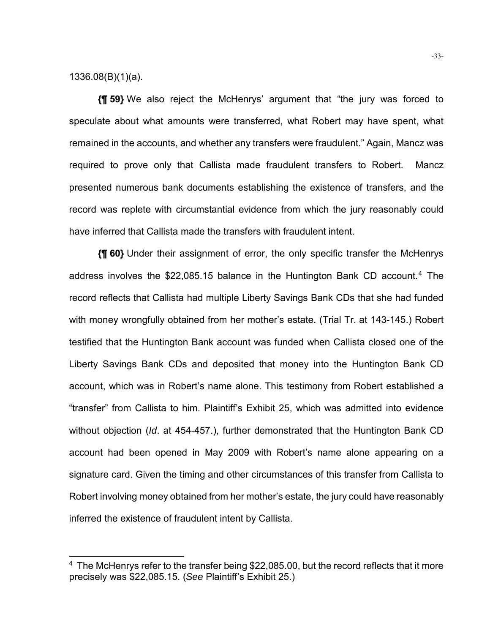1336.08(B)(1)(a).

l

**{¶ 59}** We also reject the McHenrys' argument that "the jury was forced to speculate about what amounts were transferred, what Robert may have spent, what remained in the accounts, and whether any transfers were fraudulent." Again, Mancz was required to prove only that Callista made fraudulent transfers to Robert. Mancz presented numerous bank documents establishing the existence of transfers, and the record was replete with circumstantial evidence from which the jury reasonably could have inferred that Callista made the transfers with fraudulent intent.

**{¶ 60}** Under their assignment of error, the only specific transfer the McHenrys address involves the \$22,085.15 balance in the Huntington Bank CD account.4 The record reflects that Callista had multiple Liberty Savings Bank CDs that she had funded with money wrongfully obtained from her mother's estate. (Trial Tr. at 143-145.) Robert testified that the Huntington Bank account was funded when Callista closed one of the Liberty Savings Bank CDs and deposited that money into the Huntington Bank CD account, which was in Robert's name alone. This testimony from Robert established a "transfer" from Callista to him. Plaintiff's Exhibit 25, which was admitted into evidence without objection (*Id*. at 454-457.), further demonstrated that the Huntington Bank CD account had been opened in May 2009 with Robert's name alone appearing on a signature card. Given the timing and other circumstances of this transfer from Callista to Robert involving money obtained from her mother's estate, the jury could have reasonably inferred the existence of fraudulent intent by Callista.

 $4$  The McHenrys refer to the transfer being \$22,085.00, but the record reflects that it more precisely was \$22,085.15. (*See* Plaintiff's Exhibit 25.)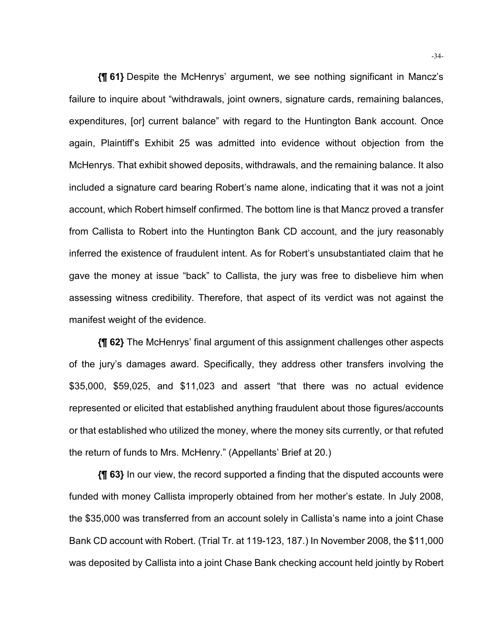**{¶ 61}** Despite the McHenrys' argument, we see nothing significant in Mancz's failure to inquire about "withdrawals, joint owners, signature cards, remaining balances, expenditures, [or] current balance" with regard to the Huntington Bank account. Once again, Plaintiff's Exhibit 25 was admitted into evidence without objection from the McHenrys. That exhibit showed deposits, withdrawals, and the remaining balance. It also included a signature card bearing Robert's name alone, indicating that it was not a joint account, which Robert himself confirmed. The bottom line is that Mancz proved a transfer from Callista to Robert into the Huntington Bank CD account, and the jury reasonably inferred the existence of fraudulent intent. As for Robert's unsubstantiated claim that he gave the money at issue "back" to Callista, the jury was free to disbelieve him when assessing witness credibility. Therefore, that aspect of its verdict was not against the manifest weight of the evidence.

**{¶ 62}** The McHenrys' final argument of this assignment challenges other aspects of the jury's damages award. Specifically, they address other transfers involving the \$35,000, \$59,025, and \$11,023 and assert "that there was no actual evidence represented or elicited that established anything fraudulent about those figures/accounts or that established who utilized the money, where the money sits currently, or that refuted the return of funds to Mrs. McHenry." (Appellants' Brief at 20.)

**{¶ 63}** In our view, the record supported a finding that the disputed accounts were funded with money Callista improperly obtained from her mother's estate. In July 2008, the \$35,000 was transferred from an account solely in Callista's name into a joint Chase Bank CD account with Robert. (Trial Tr. at 119-123, 187.) In November 2008, the \$11,000 was deposited by Callista into a joint Chase Bank checking account held jointly by Robert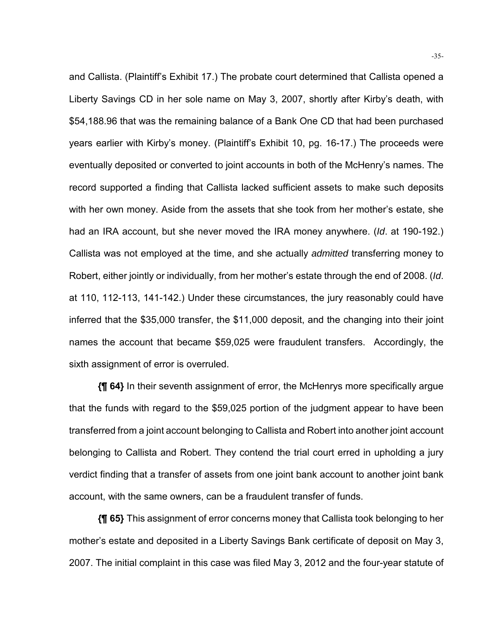and Callista. (Plaintiff's Exhibit 17.) The probate court determined that Callista opened a Liberty Savings CD in her sole name on May 3, 2007, shortly after Kirby's death, with \$54,188.96 that was the remaining balance of a Bank One CD that had been purchased years earlier with Kirby's money. (Plaintiff's Exhibit 10, pg. 16-17.) The proceeds were eventually deposited or converted to joint accounts in both of the McHenry's names. The record supported a finding that Callista lacked sufficient assets to make such deposits with her own money. Aside from the assets that she took from her mother's estate, she had an IRA account, but she never moved the IRA money anywhere. (*Id*. at 190-192.) Callista was not employed at the time, and she actually *admitted* transferring money to Robert, either jointly or individually, from her mother's estate through the end of 2008. (*Id*. at 110, 112-113, 141-142.) Under these circumstances, the jury reasonably could have inferred that the \$35,000 transfer, the \$11,000 deposit, and the changing into their joint names the account that became \$59,025 were fraudulent transfers. Accordingly, the sixth assignment of error is overruled.

**{¶ 64}** In their seventh assignment of error, the McHenrys more specifically argue that the funds with regard to the \$59,025 portion of the judgment appear to have been transferred from a joint account belonging to Callista and Robert into another joint account belonging to Callista and Robert. They contend the trial court erred in upholding a jury verdict finding that a transfer of assets from one joint bank account to another joint bank account, with the same owners, can be a fraudulent transfer of funds.

**{¶ 65}** This assignment of error concerns money that Callista took belonging to her mother's estate and deposited in a Liberty Savings Bank certificate of deposit on May 3, 2007. The initial complaint in this case was filed May 3, 2012 and the four-year statute of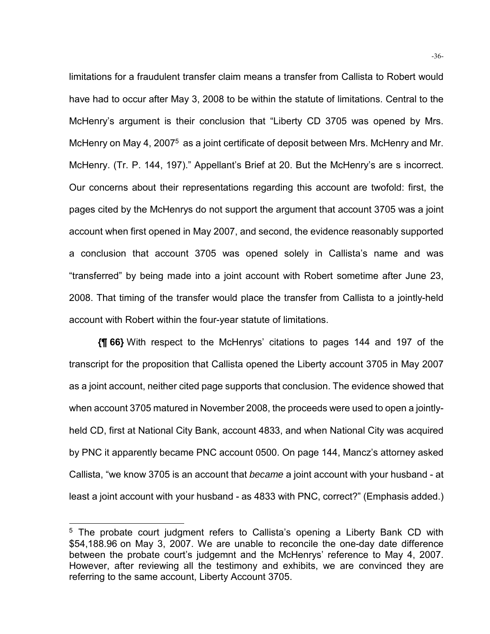limitations for a fraudulent transfer claim means a transfer from Callista to Robert would have had to occur after May 3, 2008 to be within the statute of limitations. Central to the McHenry's argument is their conclusion that "Liberty CD 3705 was opened by Mrs. McHenry on May 4, 2007<sup>5</sup> as a joint certificate of deposit between Mrs. McHenry and Mr. McHenry. (Tr. P. 144, 197)." Appellant's Brief at 20. But the McHenry's are s incorrect. Our concerns about their representations regarding this account are twofold: first, the pages cited by the McHenrys do not support the argument that account 3705 was a joint account when first opened in May 2007, and second, the evidence reasonably supported a conclusion that account 3705 was opened solely in Callista's name and was "transferred" by being made into a joint account with Robert sometime after June 23, 2008. That timing of the transfer would place the transfer from Callista to a jointly-held account with Robert within the four-year statute of limitations.

**{¶ 66}** With respect to the McHenrys' citations to pages 144 and 197 of the transcript for the proposition that Callista opened the Liberty account 3705 in May 2007 as a joint account, neither cited page supports that conclusion. The evidence showed that when account 3705 matured in November 2008, the proceeds were used to open a jointlyheld CD, first at National City Bank, account 4833, and when National City was acquired by PNC it apparently became PNC account 0500. On page 144, Mancz's attorney asked Callista, "we know 3705 is an account that *became* a joint account with your husband - at least a joint account with your husband - as 4833 with PNC, correct?" (Emphasis added.)

l

<sup>&</sup>lt;sup>5</sup> The probate court judgment refers to Callista's opening a Liberty Bank CD with \$54,188.96 on May 3, 2007. We are unable to reconcile the one-day date difference between the probate court's judgemnt and the McHenrys' reference to May 4, 2007. However, after reviewing all the testimony and exhibits, we are convinced they are referring to the same account, Liberty Account 3705.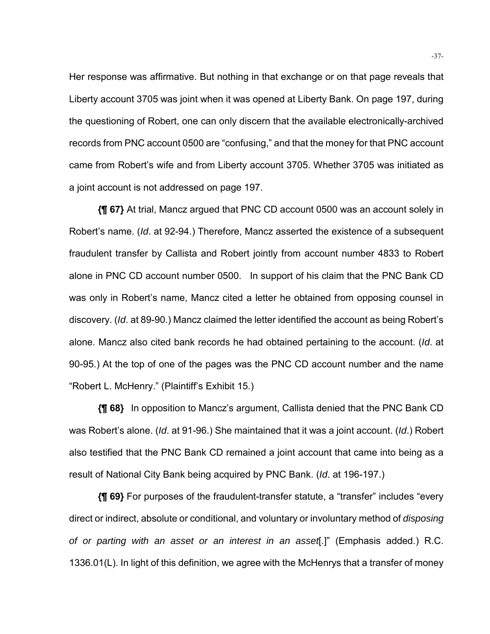Her response was affirmative. But nothing in that exchange or on that page reveals that Liberty account 3705 was joint when it was opened at Liberty Bank. On page 197, during the questioning of Robert, one can only discern that the available electronically-archived records from PNC account 0500 are "confusing," and that the money for that PNC account came from Robert's wife and from Liberty account 3705. Whether 3705 was initiated as a joint account is not addressed on page 197.

**{¶ 67}** At trial, Mancz argued that PNC CD account 0500 was an account solely in Robert's name. (*Id*. at 92-94.) Therefore, Mancz asserted the existence of a subsequent fraudulent transfer by Callista and Robert jointly from account number 4833 to Robert alone in PNC CD account number 0500. In support of his claim that the PNC Bank CD was only in Robert's name, Mancz cited a letter he obtained from opposing counsel in discovery. (*Id*. at 89-90.) Mancz claimed the letter identified the account as being Robert's alone. Mancz also cited bank records he had obtained pertaining to the account. (*Id*. at 90-95.) At the top of one of the pages was the PNC CD account number and the name "Robert L. McHenry." (Plaintiff's Exhibit 15.)

**{¶ 68}** In opposition to Mancz's argument, Callista denied that the PNC Bank CD was Robert's alone. (*Id*. at 91-96.) She maintained that it was a joint account. (*Id*.) Robert also testified that the PNC Bank CD remained a joint account that came into being as a result of National City Bank being acquired by PNC Bank. (*Id*. at 196-197.)

**{¶ 69}** For purposes of the fraudulent-transfer statute, a "transfer" includes "every direct or indirect, absolute or conditional, and voluntary or involuntary method of *disposing of or parting with an asset or an interest in an asset*[.]" (Emphasis added.) R.C. 1336.01(L). In light of this definition, we agree with the McHenrys that a transfer of money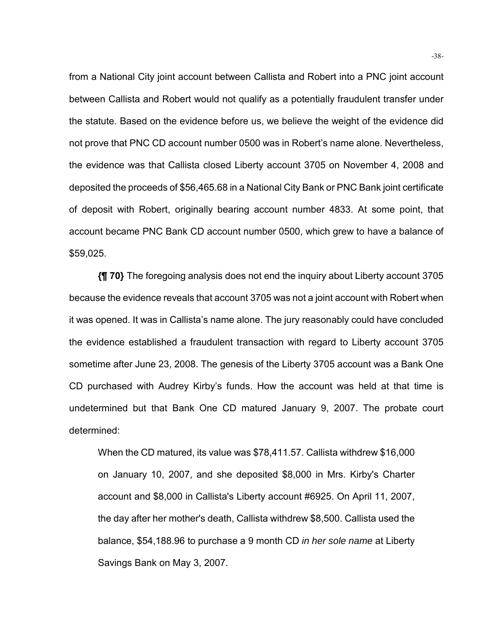from a National City joint account between Callista and Robert into a PNC joint account between Callista and Robert would not qualify as a potentially fraudulent transfer under the statute. Based on the evidence before us, we believe the weight of the evidence did not prove that PNC CD account number 0500 was in Robert's name alone. Nevertheless, the evidence was that Callista closed Liberty account 3705 on November 4, 2008 and deposited the proceeds of \$56,465.68 in a National City Bank or PNC Bank joint certificate of deposit with Robert, originally bearing account number 4833. At some point, that account became PNC Bank CD account number 0500, which grew to have a balance of \$59,025.

**{¶ 70}** The foregoing analysis does not end the inquiry about Liberty account 3705 because the evidence reveals that account 3705 was not a joint account with Robert when it was opened. It was in Callista's name alone. The jury reasonably could have concluded the evidence established a fraudulent transaction with regard to Liberty account 3705 sometime after June 23, 2008. The genesis of the Liberty 3705 account was a Bank One CD purchased with Audrey Kirby's funds. How the account was held at that time is undetermined but that Bank One CD matured January 9, 2007. The probate court determined:

When the CD matured, its value was \$78,411.57. Callista withdrew \$16,000 on January 10, 2007, and she deposited \$8,000 in Mrs. Kirby's Charter account and \$8,000 in Callista's Liberty account #6925. On April 11, 2007, the day after her mother's death, Callista withdrew \$8,500. Callista used the balance, \$54,188.96 to purchase a 9 month CD *in her sole name* at Liberty Savings Bank on May 3, 2007.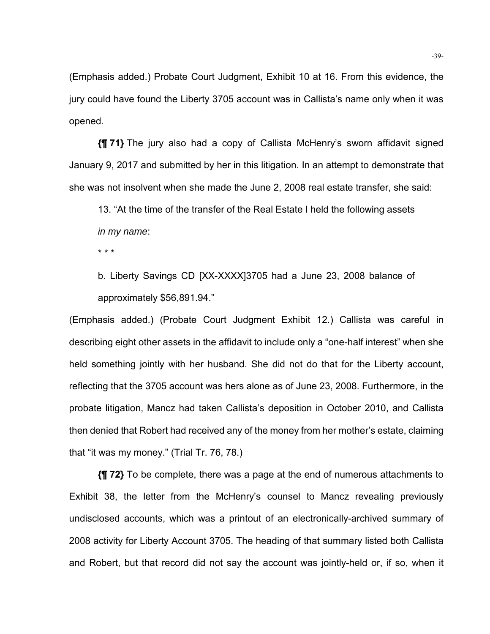(Emphasis added.) Probate Court Judgment, Exhibit 10 at 16. From this evidence, the jury could have found the Liberty 3705 account was in Callista's name only when it was opened.

**{¶ 71}** The jury also had a copy of Callista McHenry's sworn affidavit signed January 9, 2017 and submitted by her in this litigation. In an attempt to demonstrate that she was not insolvent when she made the June 2, 2008 real estate transfer, she said:

13. "At the time of the transfer of the Real Estate I held the following assets *in my name*:

\* \* \*

b. Liberty Savings CD [XX-XXXX]3705 had a June 23, 2008 balance of approximately \$56,891.94."

(Emphasis added.) (Probate Court Judgment Exhibit 12.) Callista was careful in describing eight other assets in the affidavit to include only a "one-half interest" when she held something jointly with her husband. She did not do that for the Liberty account, reflecting that the 3705 account was hers alone as of June 23, 2008. Furthermore, in the probate litigation, Mancz had taken Callista's deposition in October 2010, and Callista then denied that Robert had received any of the money from her mother's estate, claiming that "it was my money." (Trial Tr. 76, 78.)

**{¶ 72}** To be complete, there was a page at the end of numerous attachments to Exhibit 38, the letter from the McHenry's counsel to Mancz revealing previously undisclosed accounts, which was a printout of an electronically-archived summary of 2008 activity for Liberty Account 3705. The heading of that summary listed both Callista and Robert, but that record did not say the account was jointly-held or, if so, when it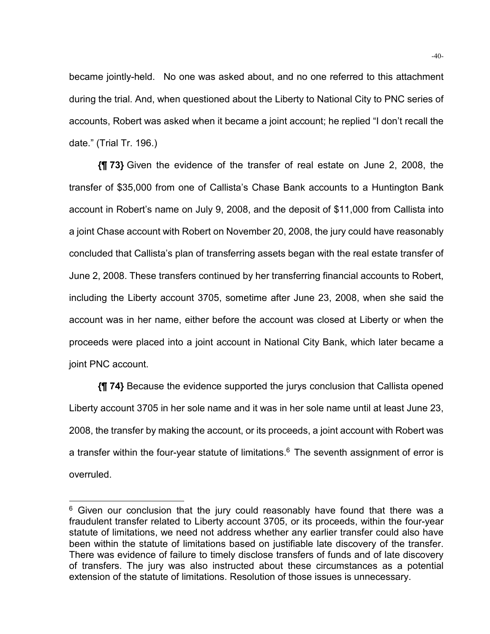became jointly-held. No one was asked about, and no one referred to this attachment during the trial. And, when questioned about the Liberty to National City to PNC series of accounts, Robert was asked when it became a joint account; he replied "I don't recall the date." (Trial Tr. 196.)

**{¶ 73}** Given the evidence of the transfer of real estate on June 2, 2008, the transfer of \$35,000 from one of Callista's Chase Bank accounts to a Huntington Bank account in Robert's name on July 9, 2008, and the deposit of \$11,000 from Callista into a joint Chase account with Robert on November 20, 2008, the jury could have reasonably concluded that Callista's plan of transferring assets began with the real estate transfer of June 2, 2008. These transfers continued by her transferring financial accounts to Robert, including the Liberty account 3705, sometime after June 23, 2008, when she said the account was in her name, either before the account was closed at Liberty or when the proceeds were placed into a joint account in National City Bank, which later became a joint PNC account.

**{¶ 74}** Because the evidence supported the jurys conclusion that Callista opened Liberty account 3705 in her sole name and it was in her sole name until at least June 23, 2008, the transfer by making the account, or its proceeds, a joint account with Robert was a transfer within the four-year statute of limitations.<sup>6</sup> The seventh assignment of error is overruled.

l

 $6$  Given our conclusion that the jury could reasonably have found that there was a fraudulent transfer related to Liberty account 3705, or its proceeds, within the four-year statute of limitations, we need not address whether any earlier transfer could also have been within the statute of limitations based on justifiable late discovery of the transfer. There was evidence of failure to timely disclose transfers of funds and of late discovery of transfers. The jury was also instructed about these circumstances as a potential extension of the statute of limitations. Resolution of those issues is unnecessary.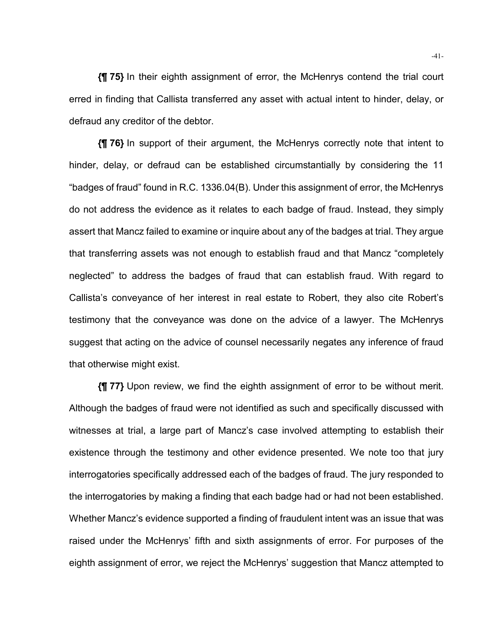**{¶ 75}** In their eighth assignment of error, the McHenrys contend the trial court erred in finding that Callista transferred any asset with actual intent to hinder, delay, or defraud any creditor of the debtor.

**{¶ 76}** In support of their argument, the McHenrys correctly note that intent to hinder, delay, or defraud can be established circumstantially by considering the 11 "badges of fraud" found in R.C. 1336.04(B). Under this assignment of error, the McHenrys do not address the evidence as it relates to each badge of fraud. Instead, they simply assert that Mancz failed to examine or inquire about any of the badges at trial. They argue that transferring assets was not enough to establish fraud and that Mancz "completely neglected" to address the badges of fraud that can establish fraud. With regard to Callista's conveyance of her interest in real estate to Robert, they also cite Robert's testimony that the conveyance was done on the advice of a lawyer. The McHenrys suggest that acting on the advice of counsel necessarily negates any inference of fraud that otherwise might exist.

**{¶ 77}** Upon review, we find the eighth assignment of error to be without merit. Although the badges of fraud were not identified as such and specifically discussed with witnesses at trial, a large part of Mancz's case involved attempting to establish their existence through the testimony and other evidence presented. We note too that jury interrogatories specifically addressed each of the badges of fraud. The jury responded to the interrogatories by making a finding that each badge had or had not been established. Whether Mancz's evidence supported a finding of fraudulent intent was an issue that was raised under the McHenrys' fifth and sixth assignments of error. For purposes of the eighth assignment of error, we reject the McHenrys' suggestion that Mancz attempted to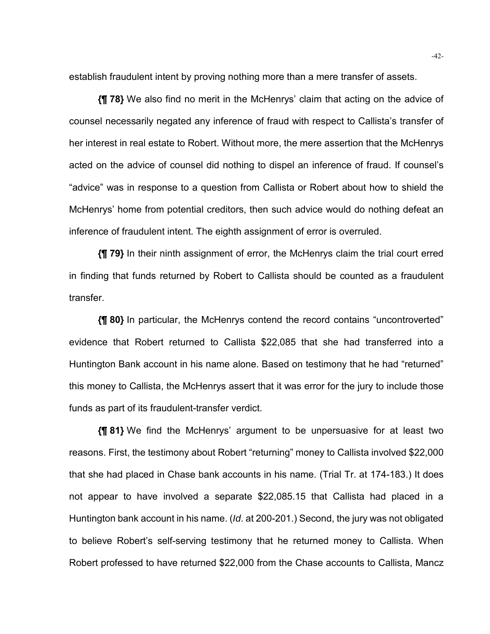establish fraudulent intent by proving nothing more than a mere transfer of assets.

**{¶ 78}** We also find no merit in the McHenrys' claim that acting on the advice of counsel necessarily negated any inference of fraud with respect to Callista's transfer of her interest in real estate to Robert. Without more, the mere assertion that the McHenrys acted on the advice of counsel did nothing to dispel an inference of fraud. If counsel's "advice" was in response to a question from Callista or Robert about how to shield the McHenrys' home from potential creditors, then such advice would do nothing defeat an inference of fraudulent intent. The eighth assignment of error is overruled.

**{¶ 79}** In their ninth assignment of error, the McHenrys claim the trial court erred in finding that funds returned by Robert to Callista should be counted as a fraudulent transfer.

**{¶ 80}** In particular, the McHenrys contend the record contains "uncontroverted" evidence that Robert returned to Callista \$22,085 that she had transferred into a Huntington Bank account in his name alone. Based on testimony that he had "returned" this money to Callista, the McHenrys assert that it was error for the jury to include those funds as part of its fraudulent-transfer verdict.

**{¶ 81}** We find the McHenrys' argument to be unpersuasive for at least two reasons. First, the testimony about Robert "returning" money to Callista involved \$22,000 that she had placed in Chase bank accounts in his name. (Trial Tr. at 174-183.) It does not appear to have involved a separate \$22,085.15 that Callista had placed in a Huntington bank account in his name. (*Id*. at 200-201.) Second, the jury was not obligated to believe Robert's self-serving testimony that he returned money to Callista. When Robert professed to have returned \$22,000 from the Chase accounts to Callista, Mancz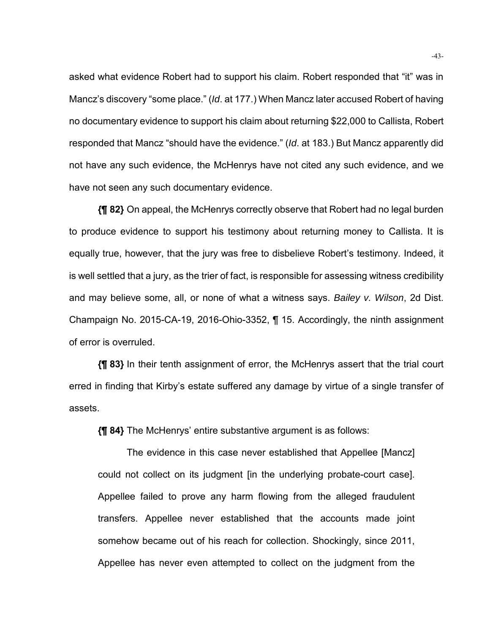asked what evidence Robert had to support his claim. Robert responded that "it" was in Mancz's discovery "some place." (*Id*. at 177.) When Mancz later accused Robert of having no documentary evidence to support his claim about returning \$22,000 to Callista, Robert responded that Mancz "should have the evidence." (*Id*. at 183.) But Mancz apparently did not have any such evidence, the McHenrys have not cited any such evidence, and we have not seen any such documentary evidence.

**{¶ 82}** On appeal, the McHenrys correctly observe that Robert had no legal burden to produce evidence to support his testimony about returning money to Callista. It is equally true, however, that the jury was free to disbelieve Robert's testimony. Indeed, it is well settled that a jury, as the trier of fact, is responsible for assessing witness credibility and may believe some, all, or none of what a witness says. *Bailey v. Wilson*, 2d Dist. Champaign No. 2015-CA-19, 2016-Ohio-3352, ¶ 15. Accordingly, the ninth assignment of error is overruled.

**{¶ 83}** In their tenth assignment of error, the McHenrys assert that the trial court erred in finding that Kirby's estate suffered any damage by virtue of a single transfer of assets.

**{¶ 84}** The McHenrys' entire substantive argument is as follows:

 The evidence in this case never established that Appellee [Mancz] could not collect on its judgment [in the underlying probate-court case]. Appellee failed to prove any harm flowing from the alleged fraudulent transfers. Appellee never established that the accounts made joint somehow became out of his reach for collection. Shockingly, since 2011, Appellee has never even attempted to collect on the judgment from the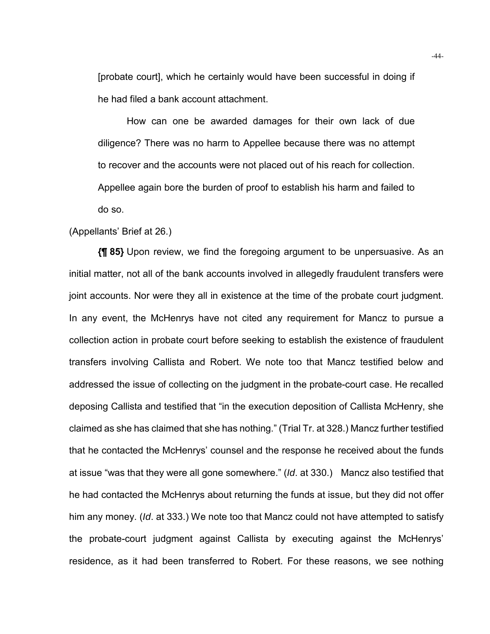[probate court], which he certainly would have been successful in doing if he had filed a bank account attachment.

 How can one be awarded damages for their own lack of due diligence? There was no harm to Appellee because there was no attempt to recover and the accounts were not placed out of his reach for collection. Appellee again bore the burden of proof to establish his harm and failed to do so.

#### (Appellants' Brief at 26.)

**{¶ 85}** Upon review, we find the foregoing argument to be unpersuasive. As an initial matter, not all of the bank accounts involved in allegedly fraudulent transfers were joint accounts. Nor were they all in existence at the time of the probate court judgment. In any event, the McHenrys have not cited any requirement for Mancz to pursue a collection action in probate court before seeking to establish the existence of fraudulent transfers involving Callista and Robert. We note too that Mancz testified below and addressed the issue of collecting on the judgment in the probate-court case. He recalled deposing Callista and testified that "in the execution deposition of Callista McHenry, she claimed as she has claimed that she has nothing." (Trial Tr. at 328.) Mancz further testified that he contacted the McHenrys' counsel and the response he received about the funds at issue "was that they were all gone somewhere." (*Id*. at 330.) Mancz also testified that he had contacted the McHenrys about returning the funds at issue, but they did not offer him any money. (*Id*. at 333.) We note too that Mancz could not have attempted to satisfy the probate-court judgment against Callista by executing against the McHenrys' residence, as it had been transferred to Robert. For these reasons, we see nothing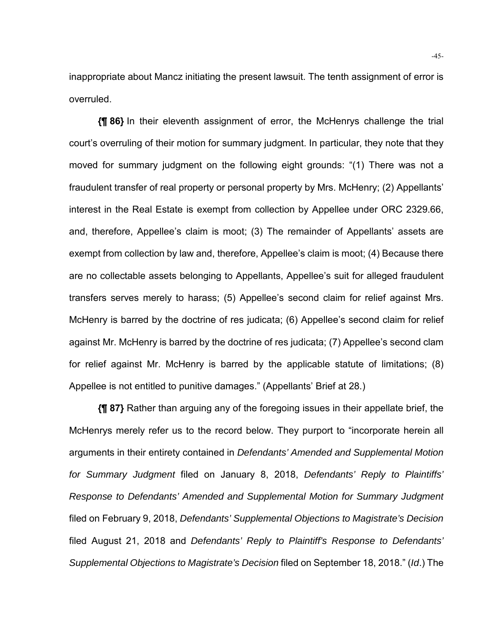inappropriate about Mancz initiating the present lawsuit. The tenth assignment of error is overruled.

**{¶ 86}** In their eleventh assignment of error, the McHenrys challenge the trial court's overruling of their motion for summary judgment. In particular, they note that they moved for summary judgment on the following eight grounds: "(1) There was not a fraudulent transfer of real property or personal property by Mrs. McHenry; (2) Appellants' interest in the Real Estate is exempt from collection by Appellee under ORC 2329.66, and, therefore, Appellee's claim is moot; (3) The remainder of Appellants' assets are exempt from collection by law and, therefore, Appellee's claim is moot; (4) Because there are no collectable assets belonging to Appellants, Appellee's suit for alleged fraudulent transfers serves merely to harass; (5) Appellee's second claim for relief against Mrs. McHenry is barred by the doctrine of res judicata; (6) Appellee's second claim for relief against Mr. McHenry is barred by the doctrine of res judicata; (7) Appellee's second clam for relief against Mr. McHenry is barred by the applicable statute of limitations; (8) Appellee is not entitled to punitive damages." (Appellants' Brief at 28.)

**{¶ 87}** Rather than arguing any of the foregoing issues in their appellate brief, the McHenrys merely refer us to the record below. They purport to "incorporate herein all arguments in their entirety contained in *Defendants' Amended and Supplemental Motion for Summary Judgment* filed on January 8, 2018, *Defendants' Reply to Plaintiffs' Response to Defendants' Amended and Supplemental Motion for Summary Judgment* filed on February 9, 2018, *Defendants' Supplemental Objections to Magistrate's Decision* filed August 21, 2018 and *Defendants' Reply to Plaintiff's Response to Defendants' Supplemental Objections to Magistrate's Decision* filed on September 18, 2018." (*Id*.) The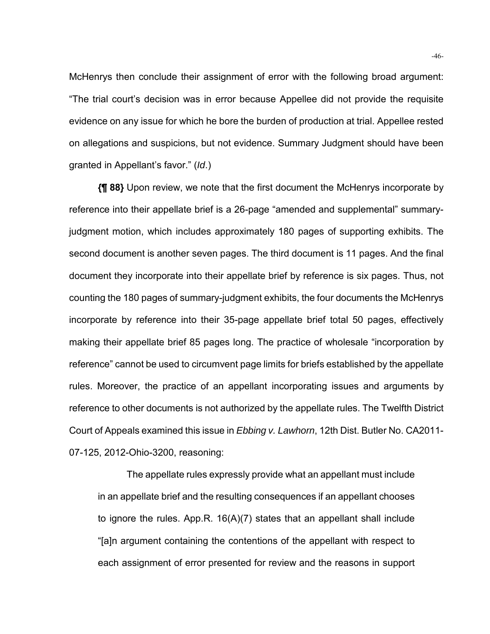McHenrys then conclude their assignment of error with the following broad argument: "The trial court's decision was in error because Appellee did not provide the requisite evidence on any issue for which he bore the burden of production at trial. Appellee rested on allegations and suspicions, but not evidence. Summary Judgment should have been granted in Appellant's favor." (*Id*.)

**{¶ 88}** Upon review, we note that the first document the McHenrys incorporate by reference into their appellate brief is a 26-page "amended and supplemental" summaryjudgment motion, which includes approximately 180 pages of supporting exhibits. The second document is another seven pages. The third document is 11 pages. And the final document they incorporate into their appellate brief by reference is six pages. Thus, not counting the 180 pages of summary-judgment exhibits, the four documents the McHenrys incorporate by reference into their 35-page appellate brief total 50 pages, effectively making their appellate brief 85 pages long. The practice of wholesale "incorporation by reference" cannot be used to circumvent page limits for briefs established by the appellate rules. Moreover, the practice of an appellant incorporating issues and arguments by reference to other documents is not authorized by the appellate rules. The Twelfth District Court of Appeals examined this issue in *Ebbing v. Lawhorn*, 12th Dist. Butler No. CA2011- 07-125, 2012-Ohio-3200, reasoning:

 The appellate rules expressly provide what an appellant must include in an appellate brief and the resulting consequences if an appellant chooses to ignore the rules. App.R. 16(A)(7) states that an appellant shall include "[a]n argument containing the contentions of the appellant with respect to each assignment of error presented for review and the reasons in support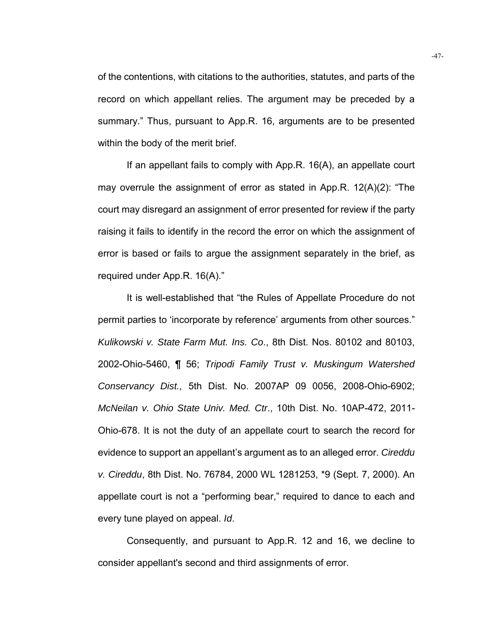of the contentions, with citations to the authorities, statutes, and parts of the record on which appellant relies. The argument may be preceded by a summary." Thus, pursuant to App.R. 16, arguments are to be presented within the body of the merit brief.

 If an appellant fails to comply with App.R. 16(A), an appellate court may overrule the assignment of error as stated in App.R. 12(A)(2): "The court may disregard an assignment of error presented for review if the party raising it fails to identify in the record the error on which the assignment of error is based or fails to argue the assignment separately in the brief, as required under App.R. 16(A)."

 It is well-established that "the Rules of Appellate Procedure do not permit parties to 'incorporate by reference' arguments from other sources." *Kulikowski v. State Farm Mut. Ins. Co*., 8th Dist. Nos. 80102 and 80103, 2002-Ohio-5460, ¶ 56; *Tripodi Family Trust v. Muskingum Watershed Conservancy Dist.,* 5th Dist. No. 2007AP 09 0056, 2008-Ohio-6902; *McNeilan v. Ohio State Univ. Med. Ctr*., 10th Dist. No. 10AP-472, 2011- Ohio-678. It is not the duty of an appellate court to search the record for evidence to support an appellant's argument as to an alleged error. *Cireddu v. Cireddu*, 8th Dist. No. 76784, 2000 WL 1281253, \*9 (Sept. 7, 2000). An appellate court is not a "performing bear," required to dance to each and every tune played on appeal. *Id*.

 Consequently, and pursuant to App.R. 12 and 16, we decline to consider appellant's second and third assignments of error.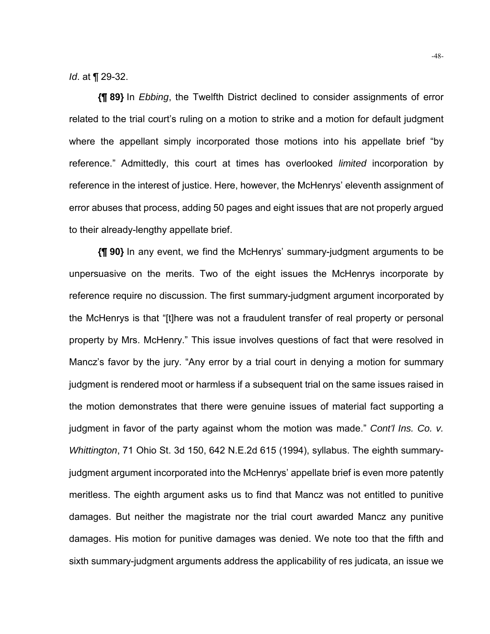*Id*. at ¶ 29-32.

**{¶ 89}** In *Ebbing*, the Twelfth District declined to consider assignments of error related to the trial court's ruling on a motion to strike and a motion for default judgment where the appellant simply incorporated those motions into his appellate brief "by reference." Admittedly, this court at times has overlooked *limited* incorporation by reference in the interest of justice. Here, however, the McHenrys' eleventh assignment of error abuses that process, adding 50 pages and eight issues that are not properly argued to their already-lengthy appellate brief.

**{¶ 90}** In any event, we find the McHenrys' summary-judgment arguments to be unpersuasive on the merits. Two of the eight issues the McHenrys incorporate by reference require no discussion. The first summary-judgment argument incorporated by the McHenrys is that "[t]here was not a fraudulent transfer of real property or personal property by Mrs. McHenry." This issue involves questions of fact that were resolved in Mancz's favor by the jury. "Any error by a trial court in denying a motion for summary judgment is rendered moot or harmless if a subsequent trial on the same issues raised in the motion demonstrates that there were genuine issues of material fact supporting a judgment in favor of the party against whom the motion was made." *Cont'l Ins. Co. v. Whittington*, 71 Ohio St. 3d 150, 642 N.E.2d 615 (1994), syllabus. The eighth summaryjudgment argument incorporated into the McHenrys' appellate brief is even more patently meritless. The eighth argument asks us to find that Mancz was not entitled to punitive damages. But neither the magistrate nor the trial court awarded Mancz any punitive damages. His motion for punitive damages was denied. We note too that the fifth and sixth summary-judgment arguments address the applicability of res judicata, an issue we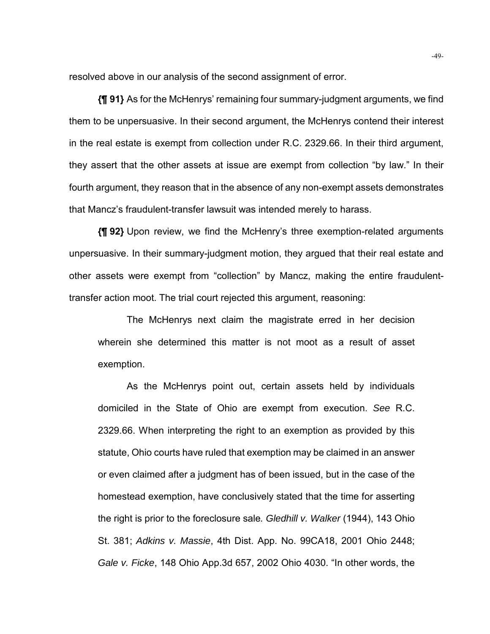resolved above in our analysis of the second assignment of error.

**{¶ 91}** As for the McHenrys' remaining four summary-judgment arguments, we find them to be unpersuasive. In their second argument, the McHenrys contend their interest in the real estate is exempt from collection under R.C. 2329.66. In their third argument, they assert that the other assets at issue are exempt from collection "by law." In their fourth argument, they reason that in the absence of any non-exempt assets demonstrates that Mancz's fraudulent-transfer lawsuit was intended merely to harass.

**{¶ 92}** Upon review, we find the McHenry's three exemption-related arguments unpersuasive. In their summary-judgment motion, they argued that their real estate and other assets were exempt from "collection" by Mancz, making the entire fraudulenttransfer action moot. The trial court rejected this argument, reasoning:

 The McHenrys next claim the magistrate erred in her decision wherein she determined this matter is not moot as a result of asset exemption.

 As the McHenrys point out, certain assets held by individuals domiciled in the State of Ohio are exempt from execution. *See* R.C. 2329.66. When interpreting the right to an exemption as provided by this statute, Ohio courts have ruled that exemption may be claimed in an answer or even claimed after a judgment has of been issued, but in the case of the homestead exemption, have conclusively stated that the time for asserting the right is prior to the foreclosure sale*. Gledhill v. Walker* (1944), 143 Ohio St. 381; *Adkins v. Massie*, 4th Dist. App. No. 99CA18, 2001 Ohio 2448; *Gale v. Ficke*, 148 Ohio App.3d 657, 2002 Ohio 4030. "In other words, the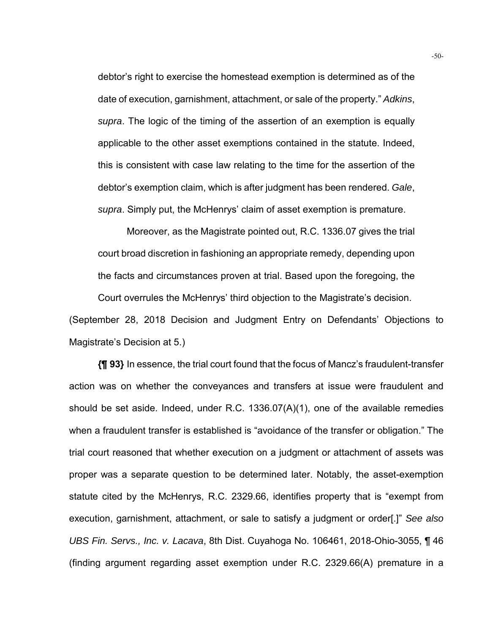debtor's right to exercise the homestead exemption is determined as of the date of execution, garnishment, attachment, or sale of the property." *Adkins*, *supra*. The logic of the timing of the assertion of an exemption is equally applicable to the other asset exemptions contained in the statute. Indeed, this is consistent with case law relating to the time for the assertion of the debtor's exemption claim, which is after judgment has been rendered. *Gale*, *supra*. Simply put, the McHenrys' claim of asset exemption is premature.

 Moreover, as the Magistrate pointed out, R.C. 1336.07 gives the trial court broad discretion in fashioning an appropriate remedy, depending upon the facts and circumstances proven at trial. Based upon the foregoing, the Court overrules the McHenrys' third objection to the Magistrate's decision. (September 28, 2018 Decision and Judgment Entry on Defendants' Objections to

```
Magistrate's Decision at 5.)
```
**{¶ 93}** In essence, the trial court found that the focus of Mancz's fraudulent-transfer action was on whether the conveyances and transfers at issue were fraudulent and should be set aside. Indeed, under R.C. 1336.07(A)(1), one of the available remedies when a fraudulent transfer is established is "avoidance of the transfer or obligation." The trial court reasoned that whether execution on a judgment or attachment of assets was proper was a separate question to be determined later. Notably, the asset-exemption statute cited by the McHenrys, R.C. 2329.66, identifies property that is "exempt from execution, garnishment, attachment, or sale to satisfy a judgment or order[.]" *See also UBS Fin. Servs., Inc. v. Lacava*, 8th Dist. Cuyahoga No. 106461, 2018-Ohio-3055, ¶ 46 (finding argument regarding asset exemption under R.C. 2329.66(A) premature in a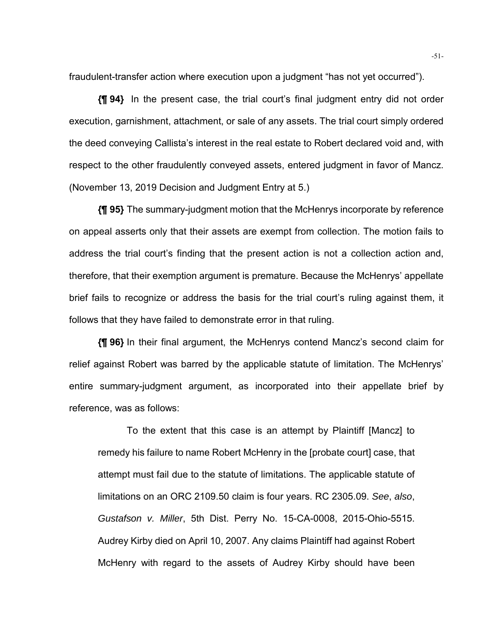fraudulent-transfer action where execution upon a judgment "has not yet occurred").

**{¶ 94}** In the present case, the trial court's final judgment entry did not order execution, garnishment, attachment, or sale of any assets. The trial court simply ordered the deed conveying Callista's interest in the real estate to Robert declared void and, with respect to the other fraudulently conveyed assets, entered judgment in favor of Mancz. (November 13, 2019 Decision and Judgment Entry at 5.)

**{¶ 95}** The summary-judgment motion that the McHenrys incorporate by reference on appeal asserts only that their assets are exempt from collection. The motion fails to address the trial court's finding that the present action is not a collection action and, therefore, that their exemption argument is premature. Because the McHenrys' appellate brief fails to recognize or address the basis for the trial court's ruling against them, it follows that they have failed to demonstrate error in that ruling.

**{¶ 96}** In their final argument, the McHenrys contend Mancz's second claim for relief against Robert was barred by the applicable statute of limitation. The McHenrys' entire summary-judgment argument, as incorporated into their appellate brief by reference, was as follows:

 To the extent that this case is an attempt by Plaintiff [Mancz] to remedy his failure to name Robert McHenry in the [probate court] case, that attempt must fail due to the statute of limitations. The applicable statute of limitations on an ORC 2109.50 claim is four years. RC 2305.09. *See*, *also*, *Gustafson v. Miller*, 5th Dist. Perry No. 15-CA-0008, 2015-Ohio-5515. Audrey Kirby died on April 10, 2007. Any claims Plaintiff had against Robert McHenry with regard to the assets of Audrey Kirby should have been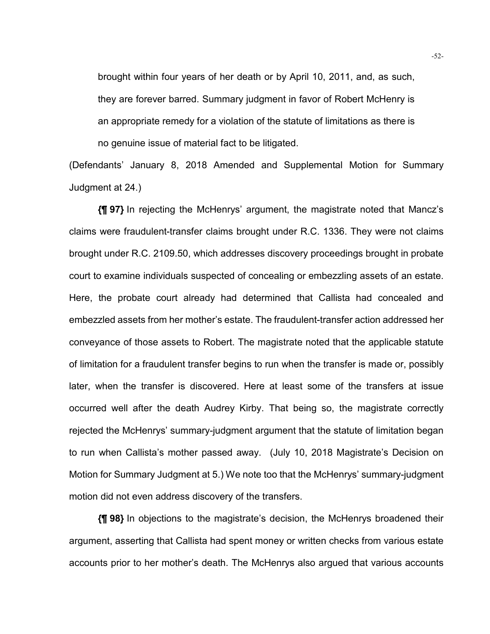brought within four years of her death or by April 10, 2011, and, as such, they are forever barred. Summary judgment in favor of Robert McHenry is an appropriate remedy for a violation of the statute of limitations as there is no genuine issue of material fact to be litigated.

(Defendants' January 8, 2018 Amended and Supplemental Motion for Summary Judgment at 24.)

**{¶ 97}** In rejecting the McHenrys' argument, the magistrate noted that Mancz's claims were fraudulent-transfer claims brought under R.C. 1336. They were not claims brought under R.C. 2109.50, which addresses discovery proceedings brought in probate court to examine individuals suspected of concealing or embezzling assets of an estate. Here, the probate court already had determined that Callista had concealed and embezzled assets from her mother's estate. The fraudulent-transfer action addressed her conveyance of those assets to Robert. The magistrate noted that the applicable statute of limitation for a fraudulent transfer begins to run when the transfer is made or, possibly later, when the transfer is discovered. Here at least some of the transfers at issue occurred well after the death Audrey Kirby. That being so, the magistrate correctly rejected the McHenrys' summary-judgment argument that the statute of limitation began to run when Callista's mother passed away. (July 10, 2018 Magistrate's Decision on Motion for Summary Judgment at 5.) We note too that the McHenrys' summary-judgment motion did not even address discovery of the transfers.

**{¶ 98}** In objections to the magistrate's decision, the McHenrys broadened their argument, asserting that Callista had spent money or written checks from various estate accounts prior to her mother's death. The McHenrys also argued that various accounts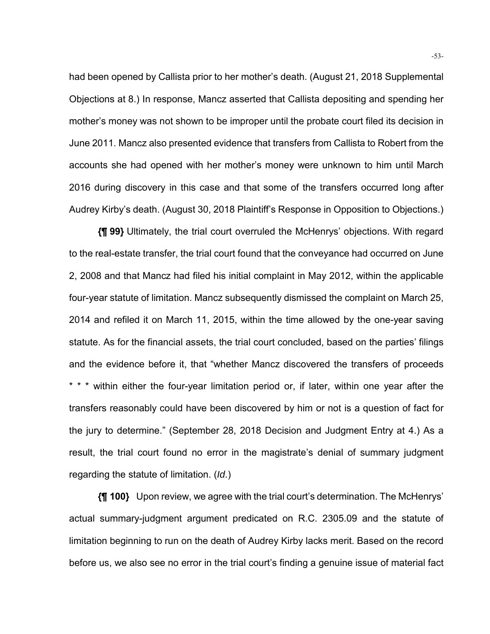had been opened by Callista prior to her mother's death. (August 21, 2018 Supplemental Objections at 8.) In response, Mancz asserted that Callista depositing and spending her mother's money was not shown to be improper until the probate court filed its decision in June 2011. Mancz also presented evidence that transfers from Callista to Robert from the accounts she had opened with her mother's money were unknown to him until March 2016 during discovery in this case and that some of the transfers occurred long after Audrey Kirby's death. (August 30, 2018 Plaintiff's Response in Opposition to Objections.)

**{¶ 99}** Ultimately, the trial court overruled the McHenrys' objections. With regard to the real-estate transfer, the trial court found that the conveyance had occurred on June 2, 2008 and that Mancz had filed his initial complaint in May 2012, within the applicable four-year statute of limitation. Mancz subsequently dismissed the complaint on March 25, 2014 and refiled it on March 11, 2015, within the time allowed by the one-year saving statute. As for the financial assets, the trial court concluded, based on the parties' filings and the evidence before it, that "whether Mancz discovered the transfers of proceeds \* \* \* within either the four-year limitation period or, if later, within one year after the transfers reasonably could have been discovered by him or not is a question of fact for the jury to determine." (September 28, 2018 Decision and Judgment Entry at 4.) As a result, the trial court found no error in the magistrate's denial of summary judgment regarding the statute of limitation. (*Id*.)

**{¶ 100}** Upon review, we agree with the trial court's determination. The McHenrys' actual summary-judgment argument predicated on R.C. 2305.09 and the statute of limitation beginning to run on the death of Audrey Kirby lacks merit. Based on the record before us, we also see no error in the trial court's finding a genuine issue of material fact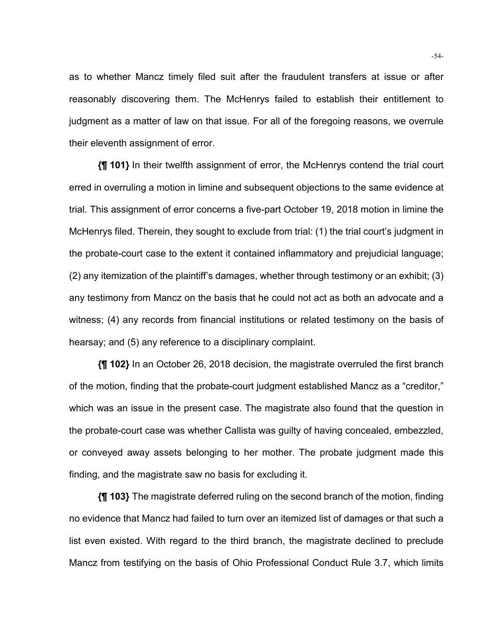as to whether Mancz timely filed suit after the fraudulent transfers at issue or after reasonably discovering them. The McHenrys failed to establish their entitlement to judgment as a matter of law on that issue. For all of the foregoing reasons, we overrule their eleventh assignment of error.

**{¶ 101}** In their twelfth assignment of error, the McHenrys contend the trial court erred in overruling a motion in limine and subsequent objections to the same evidence at trial. This assignment of error concerns a five-part October 19, 2018 motion in limine the McHenrys filed. Therein, they sought to exclude from trial: (1) the trial court's judgment in the probate-court case to the extent it contained inflammatory and prejudicial language; (2) any itemization of the plaintiff's damages, whether through testimony or an exhibit; (3) any testimony from Mancz on the basis that he could not act as both an advocate and a witness; (4) any records from financial institutions or related testimony on the basis of hearsay; and (5) any reference to a disciplinary complaint.

**{¶ 102}** In an October 26, 2018 decision, the magistrate overruled the first branch of the motion, finding that the probate-court judgment established Mancz as a "creditor," which was an issue in the present case. The magistrate also found that the question in the probate-court case was whether Callista was guilty of having concealed, embezzled, or conveyed away assets belonging to her mother. The probate judgment made this finding, and the magistrate saw no basis for excluding it.

**{¶ 103}** The magistrate deferred ruling on the second branch of the motion, finding no evidence that Mancz had failed to turn over an itemized list of damages or that such a list even existed. With regard to the third branch, the magistrate declined to preclude Mancz from testifying on the basis of Ohio Professional Conduct Rule 3.7, which limits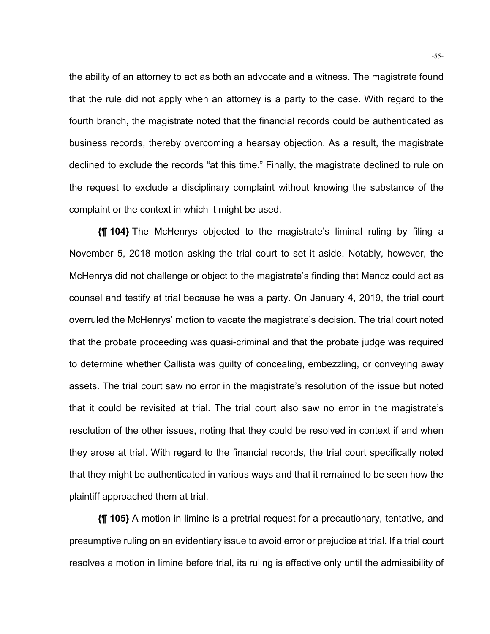the ability of an attorney to act as both an advocate and a witness. The magistrate found that the rule did not apply when an attorney is a party to the case. With regard to the fourth branch, the magistrate noted that the financial records could be authenticated as business records, thereby overcoming a hearsay objection. As a result, the magistrate declined to exclude the records "at this time." Finally, the magistrate declined to rule on the request to exclude a disciplinary complaint without knowing the substance of the complaint or the context in which it might be used.

**{¶ 104}** The McHenrys objected to the magistrate's liminal ruling by filing a November 5, 2018 motion asking the trial court to set it aside. Notably, however, the McHenrys did not challenge or object to the magistrate's finding that Mancz could act as counsel and testify at trial because he was a party. On January 4, 2019, the trial court overruled the McHenrys' motion to vacate the magistrate's decision. The trial court noted that the probate proceeding was quasi-criminal and that the probate judge was required to determine whether Callista was guilty of concealing, embezzling, or conveying away assets. The trial court saw no error in the magistrate's resolution of the issue but noted that it could be revisited at trial. The trial court also saw no error in the magistrate's resolution of the other issues, noting that they could be resolved in context if and when they arose at trial. With regard to the financial records, the trial court specifically noted that they might be authenticated in various ways and that it remained to be seen how the plaintiff approached them at trial.

**{¶ 105}** A motion in limine is a pretrial request for a precautionary, tentative, and presumptive ruling on an evidentiary issue to avoid error or prejudice at trial. If a trial court resolves a motion in limine before trial, its ruling is effective only until the admissibility of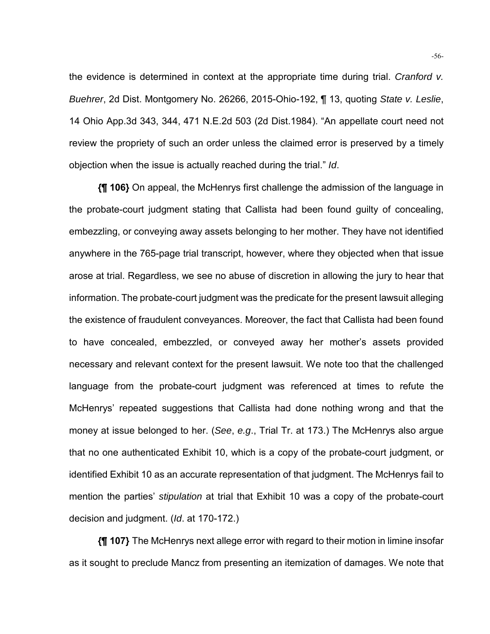the evidence is determined in context at the appropriate time during trial. *Cranford v. Buehrer*, 2d Dist. Montgomery No. 26266, 2015-Ohio-192, ¶ 13, quoting *State v. Leslie*, 14 Ohio App.3d 343, 344, 471 N.E.2d 503 (2d Dist.1984). "An appellate court need not review the propriety of such an order unless the claimed error is preserved by a timely objection when the issue is actually reached during the trial." *Id*.

**{¶ 106}** On appeal, the McHenrys first challenge the admission of the language in the probate-court judgment stating that Callista had been found guilty of concealing, embezzling, or conveying away assets belonging to her mother. They have not identified anywhere in the 765-page trial transcript, however, where they objected when that issue arose at trial. Regardless, we see no abuse of discretion in allowing the jury to hear that information. The probate-court judgment was the predicate for the present lawsuit alleging the existence of fraudulent conveyances. Moreover, the fact that Callista had been found to have concealed, embezzled, or conveyed away her mother's assets provided necessary and relevant context for the present lawsuit. We note too that the challenged language from the probate-court judgment was referenced at times to refute the McHenrys' repeated suggestions that Callista had done nothing wrong and that the money at issue belonged to her. (*See*, *e.g*., Trial Tr. at 173.) The McHenrys also argue that no one authenticated Exhibit 10, which is a copy of the probate-court judgment, or identified Exhibit 10 as an accurate representation of that judgment. The McHenrys fail to mention the parties' *stipulation* at trial that Exhibit 10 was a copy of the probate-court decision and judgment. (*Id*. at 170-172.)

**{¶ 107}** The McHenrys next allege error with regard to their motion in limine insofar as it sought to preclude Mancz from presenting an itemization of damages. We note that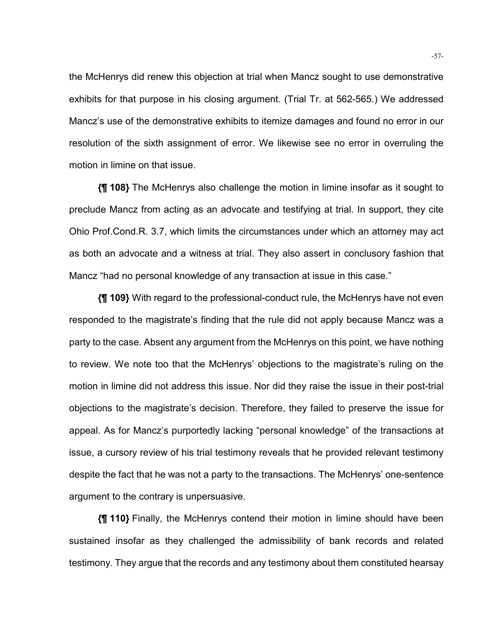the McHenrys did renew this objection at trial when Mancz sought to use demonstrative exhibits for that purpose in his closing argument. (Trial Tr. at 562-565.) We addressed Mancz's use of the demonstrative exhibits to itemize damages and found no error in our resolution of the sixth assignment of error. We likewise see no error in overruling the motion in limine on that issue.

**{¶ 108}** The McHenrys also challenge the motion in limine insofar as it sought to preclude Mancz from acting as an advocate and testifying at trial. In support, they cite Ohio Prof.Cond.R. 3.7, which limits the circumstances under which an attorney may act as both an advocate and a witness at trial. They also assert in conclusory fashion that Mancz "had no personal knowledge of any transaction at issue in this case."

**{¶ 109}** With regard to the professional-conduct rule, the McHenrys have not even responded to the magistrate's finding that the rule did not apply because Mancz was a party to the case. Absent any argument from the McHenrys on this point, we have nothing to review. We note too that the McHenrys' objections to the magistrate's ruling on the motion in limine did not address this issue. Nor did they raise the issue in their post-trial objections to the magistrate's decision. Therefore, they failed to preserve the issue for appeal. As for Mancz's purportedly lacking "personal knowledge" of the transactions at issue, a cursory review of his trial testimony reveals that he provided relevant testimony despite the fact that he was not a party to the transactions. The McHenrys' one-sentence argument to the contrary is unpersuasive.

**{¶ 110}** Finally, the McHenrys contend their motion in limine should have been sustained insofar as they challenged the admissibility of bank records and related testimony. They argue that the records and any testimony about them constituted hearsay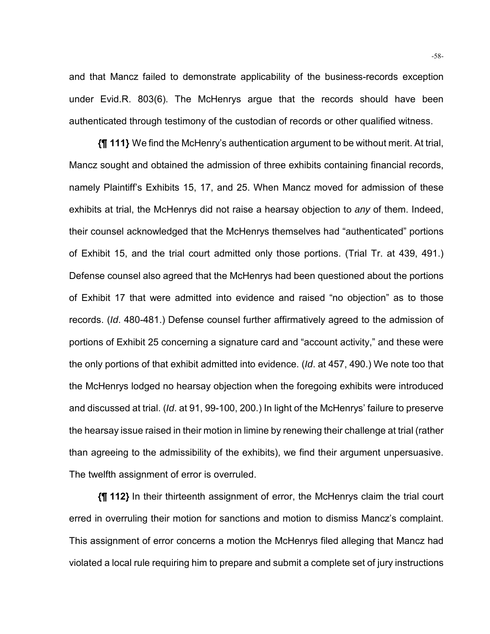and that Mancz failed to demonstrate applicability of the business-records exception under Evid.R. 803(6). The McHenrys argue that the records should have been authenticated through testimony of the custodian of records or other qualified witness.

**{¶ 111}** We find the McHenry's authentication argument to be without merit. At trial, Mancz sought and obtained the admission of three exhibits containing financial records, namely Plaintiff's Exhibits 15, 17, and 25. When Mancz moved for admission of these exhibits at trial, the McHenrys did not raise a hearsay objection to *any* of them. Indeed, their counsel acknowledged that the McHenrys themselves had "authenticated" portions of Exhibit 15, and the trial court admitted only those portions. (Trial Tr. at 439, 491.) Defense counsel also agreed that the McHenrys had been questioned about the portions of Exhibit 17 that were admitted into evidence and raised "no objection" as to those records. (*Id*. 480-481.) Defense counsel further affirmatively agreed to the admission of portions of Exhibit 25 concerning a signature card and "account activity," and these were the only portions of that exhibit admitted into evidence. (*Id*. at 457, 490.) We note too that the McHenrys lodged no hearsay objection when the foregoing exhibits were introduced and discussed at trial. (*Id*. at 91, 99-100, 200.) In light of the McHenrys' failure to preserve the hearsay issue raised in their motion in limine by renewing their challenge at trial (rather than agreeing to the admissibility of the exhibits), we find their argument unpersuasive. The twelfth assignment of error is overruled.

**{¶ 112}** In their thirteenth assignment of error, the McHenrys claim the trial court erred in overruling their motion for sanctions and motion to dismiss Mancz's complaint. This assignment of error concerns a motion the McHenrys filed alleging that Mancz had violated a local rule requiring him to prepare and submit a complete set of jury instructions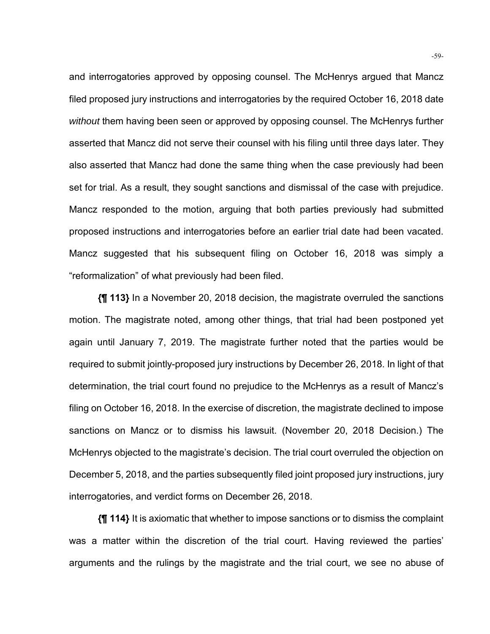and interrogatories approved by opposing counsel. The McHenrys argued that Mancz filed proposed jury instructions and interrogatories by the required October 16, 2018 date *without* them having been seen or approved by opposing counsel. The McHenrys further asserted that Mancz did not serve their counsel with his filing until three days later. They also asserted that Mancz had done the same thing when the case previously had been set for trial. As a result, they sought sanctions and dismissal of the case with prejudice. Mancz responded to the motion, arguing that both parties previously had submitted proposed instructions and interrogatories before an earlier trial date had been vacated. Mancz suggested that his subsequent filing on October 16, 2018 was simply a "reformalization" of what previously had been filed.

**{¶ 113}** In a November 20, 2018 decision, the magistrate overruled the sanctions motion. The magistrate noted, among other things, that trial had been postponed yet again until January 7, 2019. The magistrate further noted that the parties would be required to submit jointly-proposed jury instructions by December 26, 2018. In light of that determination, the trial court found no prejudice to the McHenrys as a result of Mancz's filing on October 16, 2018. In the exercise of discretion, the magistrate declined to impose sanctions on Mancz or to dismiss his lawsuit. (November 20, 2018 Decision.) The McHenrys objected to the magistrate's decision. The trial court overruled the objection on December 5, 2018, and the parties subsequently filed joint proposed jury instructions, jury interrogatories, and verdict forms on December 26, 2018.

**{¶ 114}** It is axiomatic that whether to impose sanctions or to dismiss the complaint was a matter within the discretion of the trial court. Having reviewed the parties' arguments and the rulings by the magistrate and the trial court, we see no abuse of